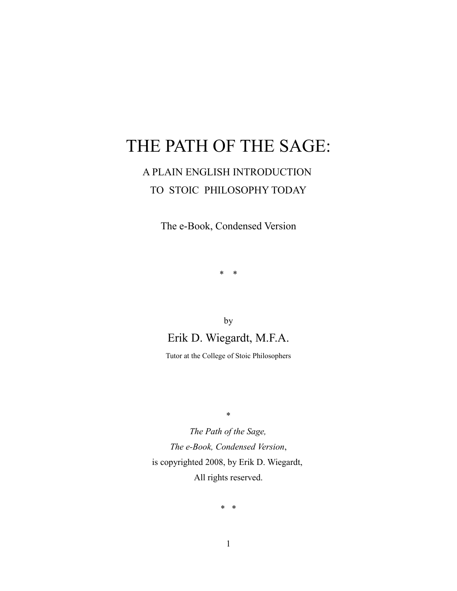# THE PATH OF THE SAGE:

# A PLAIN ENGLISH INTRODUCTION TO STOIC PHILOSOPHY TODAY

The e-Book, Condensed Version

\* \*

by Erik D. Wiegardt, M.F.A.

Tutor at the College of Stoic Philosophers

\*

*The Path of the Sage, The e-Book, Condensed Version*, is copyrighted 2008, by Erik D. Wiegardt, All rights reserved.

\* \*

1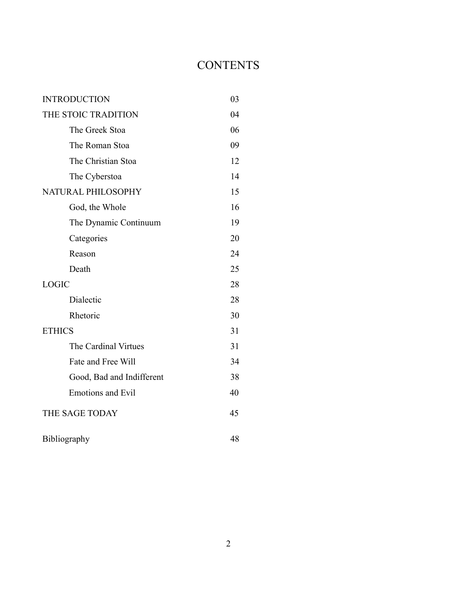# **CONTENTS**

| <b>INTRODUCTION</b> |                           | 03 |
|---------------------|---------------------------|----|
| THE STOIC TRADITION |                           | 04 |
|                     | The Greek Stoa            | 06 |
|                     | The Roman Stoa            | 09 |
|                     | The Christian Stoa        | 12 |
|                     | The Cyberstoa             | 14 |
| NATURAL PHILOSOPHY  |                           | 15 |
|                     | God, the Whole            | 16 |
|                     | The Dynamic Continuum     | 19 |
|                     | Categories                | 20 |
|                     | Reason                    | 24 |
|                     | Death                     | 25 |
| <b>LOGIC</b>        |                           | 28 |
|                     | Dialectic                 | 28 |
|                     | Rhetoric                  | 30 |
| <b>ETHICS</b>       |                           | 31 |
|                     | The Cardinal Virtues      | 31 |
|                     | Fate and Free Will        | 34 |
|                     | Good, Bad and Indifferent | 38 |
|                     | <b>Emotions and Evil</b>  | 40 |
| THE SAGE TODAY      |                           | 45 |
| Bibliography        |                           | 48 |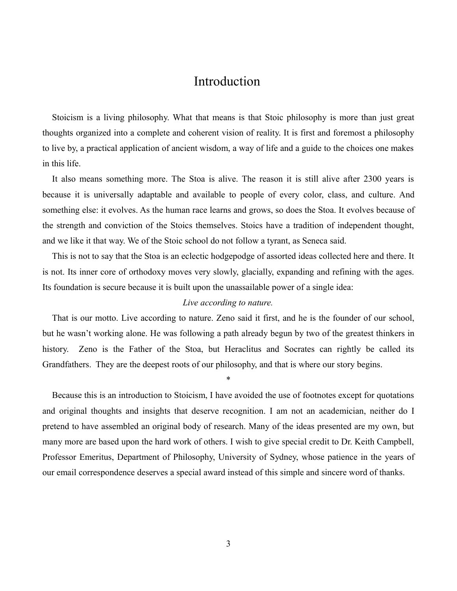# Introduction

Stoicism is a living philosophy. What that means is that Stoic philosophy is more than just great thoughts organized into a complete and coherent vision of reality. It is first and foremost a philosophy to live by, a practical application of ancient wisdom, a way of life and a guide to the choices one makes in this life.

It also means something more. The Stoa is alive. The reason it is still alive after 2300 years is because it is universally adaptable and available to people of every color, class, and culture. And something else: it evolves. As the human race learns and grows, so does the Stoa. It evolves because of the strength and conviction of the Stoics themselves. Stoics have a tradition of independent thought, and we like it that way. We of the Stoic school do not follow a tyrant, as Seneca said.

This is not to say that the Stoa is an eclectic hodgepodge of assorted ideas collected here and there. It is not. Its inner core of orthodoxy moves very slowly, glacially, expanding and refining with the ages. Its foundation is secure because it is built upon the unassailable power of a single idea:

#### *Live according to nature.*

That is our motto. Live according to nature. Zeno said it first, and he is the founder of our school, but he wasn't working alone. He was following a path already begun by two of the greatest thinkers in history. Zeno is the Father of the Stoa, but Heraclitus and Socrates can rightly be called its Grandfathers. They are the deepest roots of our philosophy, and that is where our story begins.

\*

Because this is an introduction to Stoicism, I have avoided the use of footnotes except for quotations and original thoughts and insights that deserve recognition. I am not an academician, neither do I pretend to have assembled an original body of research. Many of the ideas presented are my own, but many more are based upon the hard work of others. I wish to give special credit to Dr. Keith Campbell, Professor Emeritus, Department of Philosophy, University of Sydney, whose patience in the years of our email correspondence deserves a special award instead of this simple and sincere word of thanks.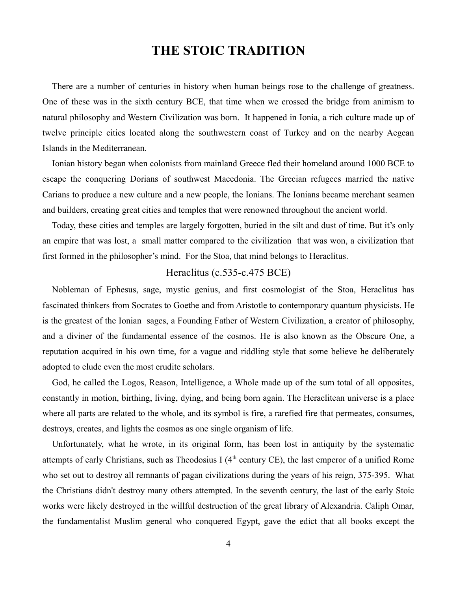# **THE STOIC TRADITION**

There are a number of centuries in history when human beings rose to the challenge of greatness. One of these was in the sixth century BCE, that time when we crossed the bridge from animism to natural philosophy and Western Civilization was born. It happened in Ionia, a rich culture made up of twelve principle cities located along the southwestern coast of Turkey and on the nearby Aegean Islands in the Mediterranean.

Ionian history began when colonists from mainland Greece fled their homeland around 1000 BCE to escape the conquering Dorians of southwest Macedonia. The Grecian refugees married the native Carians to produce a new culture and a new people, the Ionians. The Ionians became merchant seamen and builders, creating great cities and temples that were renowned throughout the ancient world.

Today, these cities and temples are largely forgotten, buried in the silt and dust of time. But it's only an empire that was lost, a small matter compared to the civilization that was won, a civilization that first formed in the philosopher's mind. For the Stoa, that mind belongs to Heraclitus.

# Heraclitus (c.535-c.475 BCE)

Nobleman of Ephesus, sage, mystic genius, and first cosmologist of the Stoa, Heraclitus has fascinated thinkers from Socrates to Goethe and from Aristotle to contemporary quantum physicists. He is the greatest of the Ionian sages, a Founding Father of Western Civilization, a creator of philosophy, and a diviner of the fundamental essence of the cosmos. He is also known as the Obscure One, a reputation acquired in his own time, for a vague and riddling style that some believe he deliberately adopted to elude even the most erudite scholars.

God, he called the Logos, Reason, Intelligence, a Whole made up of the sum total of all opposites, constantly in motion, birthing, living, dying, and being born again. The Heraclitean universe is a place where all parts are related to the whole, and its symbol is fire, a rarefied fire that permeates, consumes, destroys, creates, and lights the cosmos as one single organism of life.

Unfortunately, what he wrote, in its original form, has been lost in antiquity by the systematic attempts of early Christians, such as Theodosius I ( $4<sup>th</sup>$  century CE), the last emperor of a unified Rome who set out to destroy all remnants of pagan civilizations during the years of his reign, 375-395. What the Christians didn't destroy many others attempted. In the seventh century, the last of the early Stoic works were likely destroyed in the willful destruction of the great library of Alexandria. Caliph Omar, the fundamentalist Muslim general who conquered Egypt, gave the edict that all books except the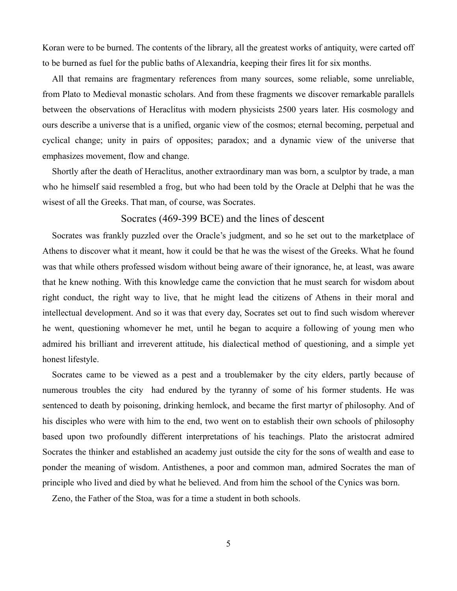Koran were to be burned. The contents of the library, all the greatest works of antiquity, were carted off to be burned as fuel for the public baths of Alexandria, keeping their fires lit for six months.

All that remains are fragmentary references from many sources, some reliable, some unreliable, from Plato to Medieval monastic scholars. And from these fragments we discover remarkable parallels between the observations of Heraclitus with modern physicists 2500 years later. His cosmology and ours describe a universe that is a unified, organic view of the cosmos; eternal becoming, perpetual and cyclical change; unity in pairs of opposites; paradox; and a dynamic view of the universe that emphasizes movement, flow and change.

Shortly after the death of Heraclitus, another extraordinary man was born, a sculptor by trade, a man who he himself said resembled a frog, but who had been told by the Oracle at Delphi that he was the wisest of all the Greeks. That man, of course, was Socrates.

# Socrates (469-399 BCE) and the lines of descent

Socrates was frankly puzzled over the Oracle's judgment, and so he set out to the marketplace of Athens to discover what it meant, how it could be that he was the wisest of the Greeks. What he found was that while others professed wisdom without being aware of their ignorance, he, at least, was aware that he knew nothing. With this knowledge came the conviction that he must search for wisdom about right conduct, the right way to live, that he might lead the citizens of Athens in their moral and intellectual development. And so it was that every day, Socrates set out to find such wisdom wherever he went, questioning whomever he met, until he began to acquire a following of young men who admired his brilliant and irreverent attitude, his dialectical method of questioning, and a simple yet honest lifestyle.

Socrates came to be viewed as a pest and a troublemaker by the city elders, partly because of numerous troubles the city had endured by the tyranny of some of his former students. He was sentenced to death by poisoning, drinking hemlock, and became the first martyr of philosophy. And of his disciples who were with him to the end, two went on to establish their own schools of philosophy based upon two profoundly different interpretations of his teachings. Plato the aristocrat admired Socrates the thinker and established an academy just outside the city for the sons of wealth and ease to ponder the meaning of wisdom. Antisthenes, a poor and common man, admired Socrates the man of principle who lived and died by what he believed. And from him the school of the Cynics was born.

Zeno, the Father of the Stoa, was for a time a student in both schools.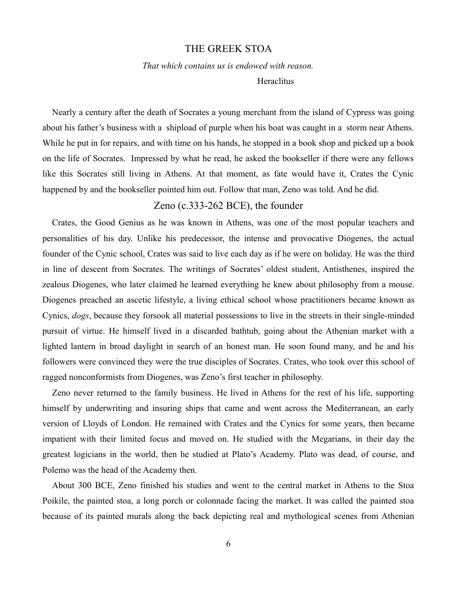#### THE GREEK STOA

*That which contains us is endowed with reason.*

**Heraclitus** 

Nearly a century after the death of Socrates a young merchant from the island of Cypress was going about his father's business with a shipload of purple when his boat was caught in a storm near Athens. While he put in for repairs, and with time on his hands, he stopped in a book shop and picked up a book on the life of Socrates. Impressed by what he read, he asked the bookseller if there were any fellows like this Socrates still living in Athens. At that moment, as fate would have it, Crates the Cynic happened by and the bookseller pointed him out. Follow that man, Zeno was told. And he did.

# Zeno (c.333-262 BCE), the founder

Crates, the Good Genius as he was known in Athens, was one of the most popular teachers and personalities of his day. Unlike his predecessor, the intense and provocative Diogenes, the actual founder of the Cynic school, Crates was said to live each day as if he were on holiday. He was the third in line of descent from Socrates. The writings of Socrates' oldest student, Antisthenes, inspired the zealous Diogenes, who later claimed he learned everything he knew about philosophy from a mouse. Diogenes preached an ascetic lifestyle, a living ethical school whose practitioners became known as Cynics, *dogs*, because they forsook all material possessions to live in the streets in their single-minded pursuit of virtue. He himself lived in a discarded bathtub, going about the Athenian market with a lighted lantern in broad daylight in search of an honest man. He soon found many, and he and his followers were convinced they were the true disciples of Socrates. Crates, who took over this school of ragged nonconformists from Diogenes, was Zeno's first teacher in philosophy.

Zeno never returned to the family business. He lived in Athens for the rest of his life, supporting himself by underwriting and insuring ships that came and went across the Mediterranean, an early version of Lloyds of London. He remained with Crates and the Cynics for some years, then became impatient with their limited focus and moved on. He studied with the Megarians, in their day the greatest logicians in the world, then he studied at Plato's Academy. Plato was dead, of course, and Polemo was the head of the Academy then.

About 300 BCE, Zeno finished his studies and went to the central market in Athens to the Stoa Poikile, the painted stoa, a long porch or colonnade facing the market. It was called the painted stoa because of its painted murals along the back depicting real and mythological scenes from Athenian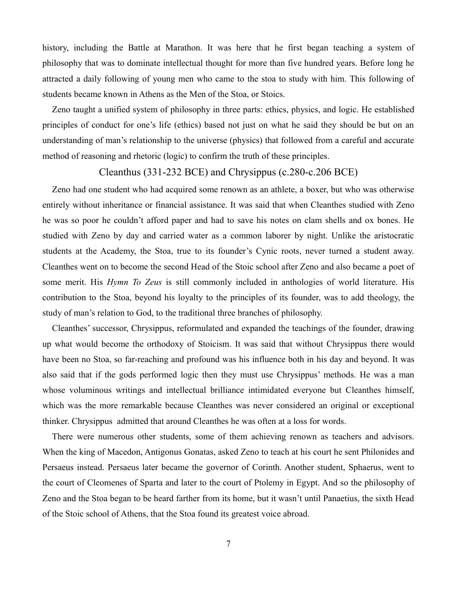history, including the Battle at Marathon. It was here that he first began teaching a system of philosophy that was to dominate intellectual thought for more than five hundred years. Before long he attracted a daily following of young men who came to the stoa to study with him. This following of students became known in Athens as the Men of the Stoa, or Stoics.

Zeno taught a unified system of philosophy in three parts: ethics, physics, and logic. He established principles of conduct for one's life (ethics) based not just on what he said they should be but on an understanding of man's relationship to the universe (physics) that followed from a careful and accurate method of reasoning and rhetoric (logic) to confirm the truth of these principles.

## Cleanthus (331-232 BCE) and Chrysippus (c.280-c.206 BCE)

Zeno had one student who had acquired some renown as an athlete, a boxer, but who was otherwise entirely without inheritance or financial assistance. It was said that when Cleanthes studied with Zeno he was so poor he couldn't afford paper and had to save his notes on clam shells and ox bones. He studied with Zeno by day and carried water as a common laborer by night. Unlike the aristocratic students at the Academy, the Stoa, true to its founder's Cynic roots, never turned a student away. Cleanthes went on to become the second Head of the Stoic school after Zeno and also became a poet of some merit. His *Hymn To Zeus* is still commonly included in anthologies of world literature. His contribution to the Stoa, beyond his loyalty to the principles of its founder, was to add theology, the study of man's relation to God, to the traditional three branches of philosophy.

Cleanthes' successor, Chrysippus, reformulated and expanded the teachings of the founder, drawing up what would become the orthodoxy of Stoicism. It was said that without Chrysippus there would have been no Stoa, so far-reaching and profound was his influence both in his day and beyond. It was also said that if the gods performed logic then they must use Chrysippus' methods. He was a man whose voluminous writings and intellectual brilliance intimidated everyone but Cleanthes himself, which was the more remarkable because Cleanthes was never considered an original or exceptional thinker. Chrysippus admitted that around Cleanthes he was often at a loss for words.

There were numerous other students, some of them achieving renown as teachers and advisors. When the king of Macedon, Antigonus Gonatas, asked Zeno to teach at his court he sent Philonides and Persaeus instead. Persaeus later became the governor of Corinth. Another student, Sphaerus, went to the court of Cleomenes of Sparta and later to the court of Ptolemy in Egypt. And so the philosophy of Zeno and the Stoa began to be heard farther from its home, but it wasn't until Panaetius, the sixth Head of the Stoic school of Athens, that the Stoa found its greatest voice abroad.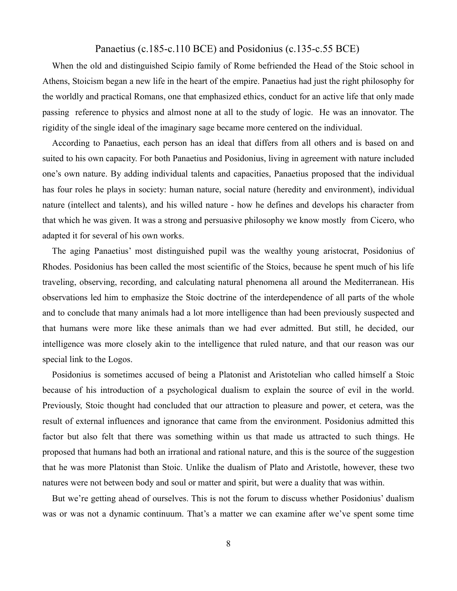# Panaetius (c.185-c.110 BCE) and Posidonius (c.135-c.55 BCE)

When the old and distinguished Scipio family of Rome befriended the Head of the Stoic school in Athens, Stoicism began a new life in the heart of the empire. Panaetius had just the right philosophy for the worldly and practical Romans, one that emphasized ethics, conduct for an active life that only made passing reference to physics and almost none at all to the study of logic. He was an innovator. The rigidity of the single ideal of the imaginary sage became more centered on the individual.

According to Panaetius, each person has an ideal that differs from all others and is based on and suited to his own capacity. For both Panaetius and Posidonius, living in agreement with nature included one's own nature. By adding individual talents and capacities, Panaetius proposed that the individual has four roles he plays in society: human nature, social nature (heredity and environment), individual nature (intellect and talents), and his willed nature - how he defines and develops his character from that which he was given. It was a strong and persuasive philosophy we know mostly from Cicero, who adapted it for several of his own works.

The aging Panaetius' most distinguished pupil was the wealthy young aristocrat, Posidonius of Rhodes. Posidonius has been called the most scientific of the Stoics, because he spent much of his life traveling, observing, recording, and calculating natural phenomena all around the Mediterranean. His observations led him to emphasize the Stoic doctrine of the interdependence of all parts of the whole and to conclude that many animals had a lot more intelligence than had been previously suspected and that humans were more like these animals than we had ever admitted. But still, he decided, our intelligence was more closely akin to the intelligence that ruled nature, and that our reason was our special link to the Logos.

Posidonius is sometimes accused of being a Platonist and Aristotelian who called himself a Stoic because of his introduction of a psychological dualism to explain the source of evil in the world. Previously, Stoic thought had concluded that our attraction to pleasure and power, et cetera, was the result of external influences and ignorance that came from the environment. Posidonius admitted this factor but also felt that there was something within us that made us attracted to such things. He proposed that humans had both an irrational and rational nature, and this is the source of the suggestion that he was more Platonist than Stoic. Unlike the dualism of Plato and Aristotle, however, these two natures were not between body and soul or matter and spirit, but were a duality that was within.

But we're getting ahead of ourselves. This is not the forum to discuss whether Posidonius' dualism was or was not a dynamic continuum. That's a matter we can examine after we've spent some time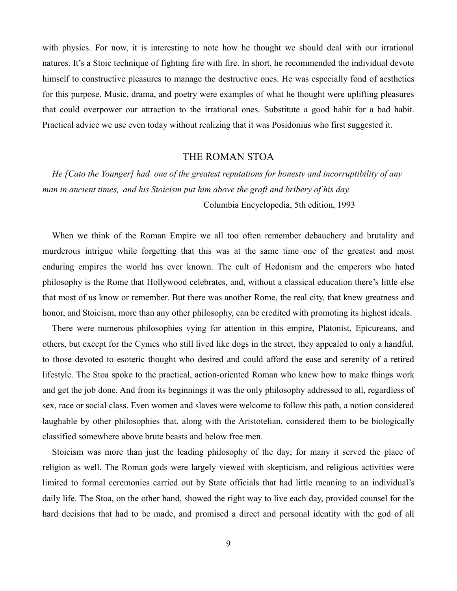with physics. For now, it is interesting to note how he thought we should deal with our irrational natures. It's a Stoic technique of fighting fire with fire. In short, he recommended the individual devote himself to constructive pleasures to manage the destructive ones. He was especially fond of aesthetics for this purpose. Music, drama, and poetry were examples of what he thought were uplifting pleasures that could overpower our attraction to the irrational ones. Substitute a good habit for a bad habit. Practical advice we use even today without realizing that it was Posidonius who first suggested it.

# THE ROMAN STOA

*He [Cato the Younger] had one of the greatest reputations for honesty and incorruptibility of any man in ancient times, and his Stoicism put him above the graft and bribery of his day.*

Columbia Encyclopedia, 5th edition, 1993

When we think of the Roman Empire we all too often remember debauchery and brutality and murderous intrigue while forgetting that this was at the same time one of the greatest and most enduring empires the world has ever known. The cult of Hedonism and the emperors who hated philosophy is the Rome that Hollywood celebrates, and, without a classical education there's little else that most of us know or remember. But there was another Rome, the real city, that knew greatness and honor, and Stoicism, more than any other philosophy, can be credited with promoting its highest ideals.

There were numerous philosophies vying for attention in this empire, Platonist, Epicureans, and others, but except for the Cynics who still lived like dogs in the street, they appealed to only a handful, to those devoted to esoteric thought who desired and could afford the ease and serenity of a retired lifestyle. The Stoa spoke to the practical, action-oriented Roman who knew how to make things work and get the job done. And from its beginnings it was the only philosophy addressed to all, regardless of sex, race or social class. Even women and slaves were welcome to follow this path, a notion considered laughable by other philosophies that, along with the Aristotelian, considered them to be biologically classified somewhere above brute beasts and below free men.

Stoicism was more than just the leading philosophy of the day; for many it served the place of religion as well. The Roman gods were largely viewed with skepticism, and religious activities were limited to formal ceremonies carried out by State officials that had little meaning to an individual's daily life. The Stoa, on the other hand, showed the right way to live each day, provided counsel for the hard decisions that had to be made, and promised a direct and personal identity with the god of all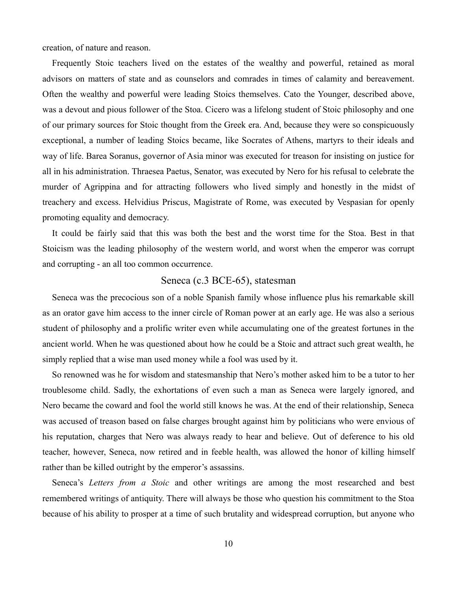creation, of nature and reason.

Frequently Stoic teachers lived on the estates of the wealthy and powerful, retained as moral advisors on matters of state and as counselors and comrades in times of calamity and bereavement. Often the wealthy and powerful were leading Stoics themselves. Cato the Younger, described above, was a devout and pious follower of the Stoa. Cicero was a lifelong student of Stoic philosophy and one of our primary sources for Stoic thought from the Greek era. And, because they were so conspicuously exceptional, a number of leading Stoics became, like Socrates of Athens, martyrs to their ideals and way of life. Barea Soranus, governor of Asia minor was executed for treason for insisting on justice for all in his administration. Thraesea Paetus, Senator, was executed by Nero for his refusal to celebrate the murder of Agrippina and for attracting followers who lived simply and honestly in the midst of treachery and excess. Helvidius Priscus, Magistrate of Rome, was executed by Vespasian for openly promoting equality and democracy.

It could be fairly said that this was both the best and the worst time for the Stoa. Best in that Stoicism was the leading philosophy of the western world, and worst when the emperor was corrupt and corrupting - an all too common occurrence.

### Seneca (c.3 BCE-65), statesman

Seneca was the precocious son of a noble Spanish family whose influence plus his remarkable skill as an orator gave him access to the inner circle of Roman power at an early age. He was also a serious student of philosophy and a prolific writer even while accumulating one of the greatest fortunes in the ancient world. When he was questioned about how he could be a Stoic and attract such great wealth, he simply replied that a wise man used money while a fool was used by it.

So renowned was he for wisdom and statesmanship that Nero's mother asked him to be a tutor to her troublesome child. Sadly, the exhortations of even such a man as Seneca were largely ignored, and Nero became the coward and fool the world still knows he was. At the end of their relationship, Seneca was accused of treason based on false charges brought against him by politicians who were envious of his reputation, charges that Nero was always ready to hear and believe. Out of deference to his old teacher, however, Seneca, now retired and in feeble health, was allowed the honor of killing himself rather than be killed outright by the emperor's assassins.

Seneca's *Letters from a Stoic* and other writings are among the most researched and best remembered writings of antiquity. There will always be those who question his commitment to the Stoa because of his ability to prosper at a time of such brutality and widespread corruption, but anyone who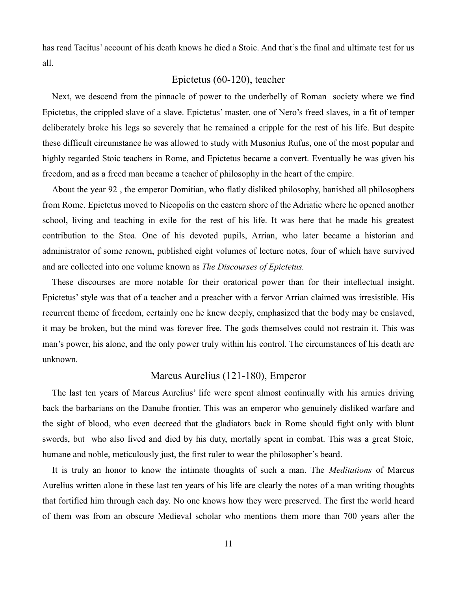has read Tacitus' account of his death knows he died a Stoic. And that's the final and ultimate test for us all.

# Epictetus (60-120), teacher

Next, we descend from the pinnacle of power to the underbelly of Roman society where we find Epictetus, the crippled slave of a slave. Epictetus' master, one of Nero's freed slaves, in a fit of temper deliberately broke his legs so severely that he remained a cripple for the rest of his life. But despite these difficult circumstance he was allowed to study with Musonius Rufus, one of the most popular and highly regarded Stoic teachers in Rome, and Epictetus became a convert. Eventually he was given his freedom, and as a freed man became a teacher of philosophy in the heart of the empire.

About the year 92 , the emperor Domitian, who flatly disliked philosophy, banished all philosophers from Rome. Epictetus moved to Nicopolis on the eastern shore of the Adriatic where he opened another school, living and teaching in exile for the rest of his life. It was here that he made his greatest contribution to the Stoa. One of his devoted pupils, Arrian, who later became a historian and administrator of some renown, published eight volumes of lecture notes, four of which have survived and are collected into one volume known as *The Discourses of Epictetus.*

These discourses are more notable for their oratorical power than for their intellectual insight. Epictetus' style was that of a teacher and a preacher with a fervor Arrian claimed was irresistible. His recurrent theme of freedom, certainly one he knew deeply, emphasized that the body may be enslaved, it may be broken, but the mind was forever free. The gods themselves could not restrain it. This was man's power, his alone, and the only power truly within his control. The circumstances of his death are unknown.

# Marcus Aurelius (121-180), Emperor

The last ten years of Marcus Aurelius' life were spent almost continually with his armies driving back the barbarians on the Danube frontier. This was an emperor who genuinely disliked warfare and the sight of blood, who even decreed that the gladiators back in Rome should fight only with blunt swords, but who also lived and died by his duty, mortally spent in combat. This was a great Stoic, humane and noble, meticulously just, the first ruler to wear the philosopher's beard.

It is truly an honor to know the intimate thoughts of such a man. The *Meditations* of Marcus Aurelius written alone in these last ten years of his life are clearly the notes of a man writing thoughts that fortified him through each day. No one knows how they were preserved. The first the world heard of them was from an obscure Medieval scholar who mentions them more than 700 years after the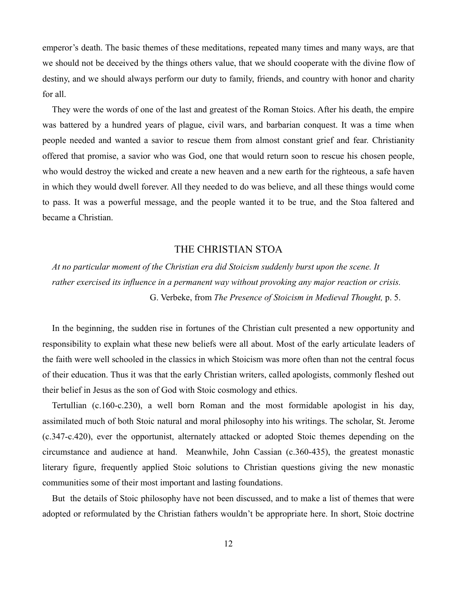emperor's death. The basic themes of these meditations, repeated many times and many ways, are that we should not be deceived by the things others value, that we should cooperate with the divine flow of destiny, and we should always perform our duty to family, friends, and country with honor and charity for all.

They were the words of one of the last and greatest of the Roman Stoics. After his death, the empire was battered by a hundred years of plague, civil wars, and barbarian conquest. It was a time when people needed and wanted a savior to rescue them from almost constant grief and fear. Christianity offered that promise, a savior who was God, one that would return soon to rescue his chosen people, who would destroy the wicked and create a new heaven and a new earth for the righteous, a safe haven in which they would dwell forever. All they needed to do was believe, and all these things would come to pass. It was a powerful message, and the people wanted it to be true, and the Stoa faltered and became a Christian.

# THE CHRISTIAN STOA

*At no particular moment of the Christian era did Stoicism suddenly burst upon the scene. It rather exercised its influence in a permanent way without provoking any major reaction or crisis.*  G. Verbeke, from *The Presence of Stoicism in Medieval Thought,* p. 5.

In the beginning, the sudden rise in fortunes of the Christian cult presented a new opportunity and responsibility to explain what these new beliefs were all about. Most of the early articulate leaders of the faith were well schooled in the classics in which Stoicism was more often than not the central focus of their education. Thus it was that the early Christian writers, called apologists, commonly fleshed out their belief in Jesus as the son of God with Stoic cosmology and ethics.

Tertullian (c.160-c.230), a well born Roman and the most formidable apologist in his day, assimilated much of both Stoic natural and moral philosophy into his writings. The scholar, St. Jerome (c.347-c.420), ever the opportunist, alternately attacked or adopted Stoic themes depending on the circumstance and audience at hand. Meanwhile, John Cassian (c.360-435), the greatest monastic literary figure, frequently applied Stoic solutions to Christian questions giving the new monastic communities some of their most important and lasting foundations.

But the details of Stoic philosophy have not been discussed, and to make a list of themes that were adopted or reformulated by the Christian fathers wouldn't be appropriate here. In short, Stoic doctrine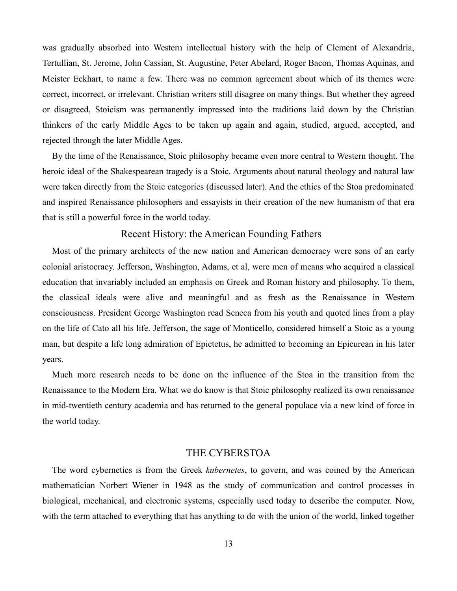was gradually absorbed into Western intellectual history with the help of Clement of Alexandria, Tertullian, St. Jerome, John Cassian, St. Augustine, Peter Abelard, Roger Bacon, Thomas Aquinas, and Meister Eckhart, to name a few. There was no common agreement about which of its themes were correct, incorrect, or irrelevant. Christian writers still disagree on many things. But whether they agreed or disagreed, Stoicism was permanently impressed into the traditions laid down by the Christian thinkers of the early Middle Ages to be taken up again and again, studied, argued, accepted, and rejected through the later Middle Ages.

By the time of the Renaissance, Stoic philosophy became even more central to Western thought. The heroic ideal of the Shakespearean tragedy is a Stoic. Arguments about natural theology and natural law were taken directly from the Stoic categories (discussed later). And the ethics of the Stoa predominated and inspired Renaissance philosophers and essayists in their creation of the new humanism of that era that is still a powerful force in the world today.

#### Recent History: the American Founding Fathers

Most of the primary architects of the new nation and American democracy were sons of an early colonial aristocracy. Jefferson, Washington, Adams, et al, were men of means who acquired a classical education that invariably included an emphasis on Greek and Roman history and philosophy. To them, the classical ideals were alive and meaningful and as fresh as the Renaissance in Western consciousness. President George Washington read Seneca from his youth and quoted lines from a play on the life of Cato all his life. Jefferson, the sage of Monticello, considered himself a Stoic as a young man, but despite a life long admiration of Epictetus, he admitted to becoming an Epicurean in his later years.

Much more research needs to be done on the influence of the Stoa in the transition from the Renaissance to the Modern Era. What we do know is that Stoic philosophy realized its own renaissance in mid-twentieth century academia and has returned to the general populace via a new kind of force in the world today.

# THE CYBERSTOA

The word cybernetics is from the Greek *kubernetes*, to govern, and was coined by the American mathematician Norbert Wiener in 1948 as the study of communication and control processes in biological, mechanical, and electronic systems, especially used today to describe the computer. Now, with the term attached to everything that has anything to do with the union of the world, linked together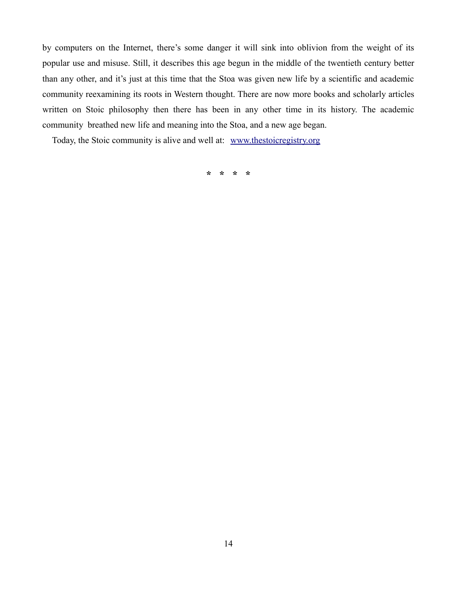by computers on the Internet, there's some danger it will sink into oblivion from the weight of its popular use and misuse. Still, it describes this age begun in the middle of the twentieth century better than any other, and it's just at this time that the Stoa was given new life by a scientific and academic community reexamining its roots in Western thought. There are now more books and scholarly articles written on Stoic philosophy then there has been in any other time in its history. The academic community breathed new life and meaning into the Stoa, and a new age began.

Today, the Stoic community is alive and well at: [www.thestoicregistry.org](http://www.thestoicregistry.org/)

**\* \* \* \***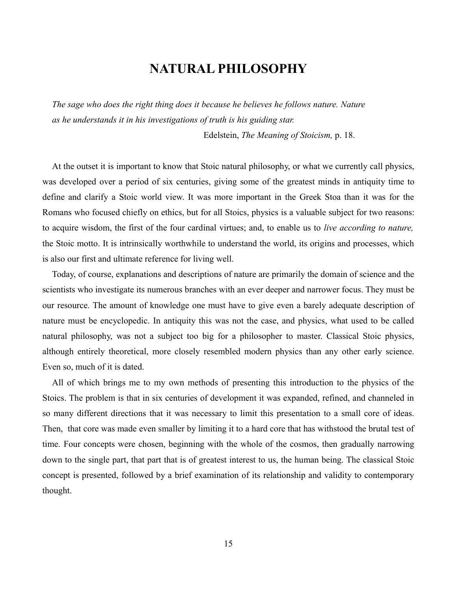# **NATURAL PHILOSOPHY**

*The sage who does the right thing does it because he believes he follows nature. Nature as he understands it in his investigations of truth is his guiding star.*

Edelstein, *The Meaning of Stoicism,* p. 18.

At the outset it is important to know that Stoic natural philosophy, or what we currently call physics, was developed over a period of six centuries, giving some of the greatest minds in antiquity time to define and clarify a Stoic world view. It was more important in the Greek Stoa than it was for the Romans who focused chiefly on ethics, but for all Stoics, physics is a valuable subject for two reasons: to acquire wisdom, the first of the four cardinal virtues; and, to enable us to *live according to nature,* the Stoic motto. It is intrinsically worthwhile to understand the world, its origins and processes, which is also our first and ultimate reference for living well.

Today, of course, explanations and descriptions of nature are primarily the domain of science and the scientists who investigate its numerous branches with an ever deeper and narrower focus. They must be our resource. The amount of knowledge one must have to give even a barely adequate description of nature must be encyclopedic. In antiquity this was not the case, and physics, what used to be called natural philosophy, was not a subject too big for a philosopher to master. Classical Stoic physics, although entirely theoretical, more closely resembled modern physics than any other early science. Even so, much of it is dated.

All of which brings me to my own methods of presenting this introduction to the physics of the Stoics. The problem is that in six centuries of development it was expanded, refined, and channeled in so many different directions that it was necessary to limit this presentation to a small core of ideas. Then, that core was made even smaller by limiting it to a hard core that has withstood the brutal test of time. Four concepts were chosen, beginning with the whole of the cosmos, then gradually narrowing down to the single part, that part that is of greatest interest to us, the human being. The classical Stoic concept is presented, followed by a brief examination of its relationship and validity to contemporary thought.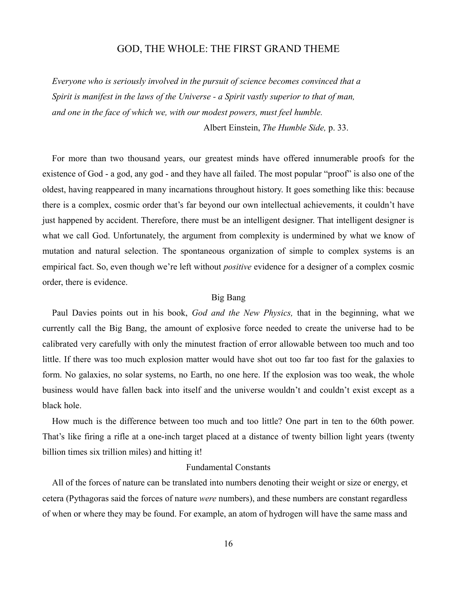### GOD, THE WHOLE: THE FIRST GRAND THEME

*Everyone who is seriously involved in the pursuit of science becomes convinced that a Spirit is manifest in the laws of the Universe - a Spirit vastly superior to that of man, and one in the face of which we, with our modest powers, must feel humble.* 

Albert Einstein, *The Humble Side,* p. 33.

For more than two thousand years, our greatest minds have offered innumerable proofs for the existence of God - a god, any god - and they have all failed. The most popular "proof" is also one of the oldest, having reappeared in many incarnations throughout history. It goes something like this: because there is a complex, cosmic order that's far beyond our own intellectual achievements, it couldn't have just happened by accident. Therefore, there must be an intelligent designer. That intelligent designer is what we call God. Unfortunately, the argument from complexity is undermined by what we know of mutation and natural selection. The spontaneous organization of simple to complex systems is an empirical fact. So, even though we're left without *positive* evidence for a designer of a complex cosmic order, there is evidence.

#### Big Bang

Paul Davies points out in his book, *God and the New Physics,* that in the beginning, what we currently call the Big Bang, the amount of explosive force needed to create the universe had to be calibrated very carefully with only the minutest fraction of error allowable between too much and too little. If there was too much explosion matter would have shot out too far too fast for the galaxies to form. No galaxies, no solar systems, no Earth, no one here. If the explosion was too weak, the whole business would have fallen back into itself and the universe wouldn't and couldn't exist except as a black hole.

How much is the difference between too much and too little? One part in ten to the 60th power. That's like firing a rifle at a one-inch target placed at a distance of twenty billion light years (twenty billion times six trillion miles) and hitting it!

#### Fundamental Constants

All of the forces of nature can be translated into numbers denoting their weight or size or energy, et cetera (Pythagoras said the forces of nature *were* numbers), and these numbers are constant regardless of when or where they may be found. For example, an atom of hydrogen will have the same mass and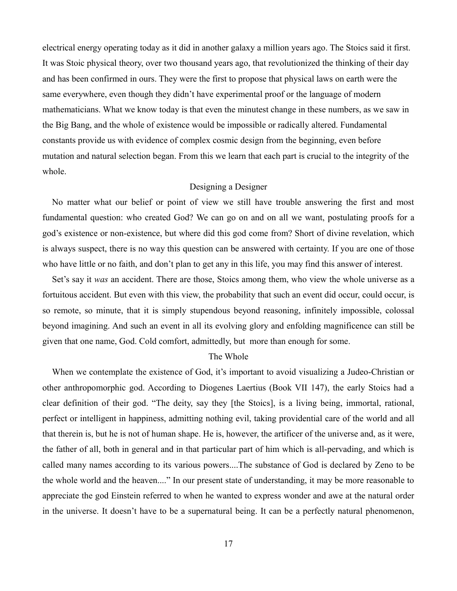electrical energy operating today as it did in another galaxy a million years ago. The Stoics said it first. It was Stoic physical theory, over two thousand years ago, that revolutionized the thinking of their day and has been confirmed in ours. They were the first to propose that physical laws on earth were the same everywhere, even though they didn't have experimental proof or the language of modern mathematicians. What we know today is that even the minutest change in these numbers, as we saw in the Big Bang, and the whole of existence would be impossible or radically altered. Fundamental constants provide us with evidence of complex cosmic design from the beginning, even before mutation and natural selection began. From this we learn that each part is crucial to the integrity of the whole.

#### Designing a Designer

No matter what our belief or point of view we still have trouble answering the first and most fundamental question: who created God? We can go on and on all we want, postulating proofs for a god's existence or non-existence, but where did this god come from? Short of divine revelation, which is always suspect, there is no way this question can be answered with certainty. If you are one of those who have little or no faith, and don't plan to get any in this life, you may find this answer of interest.

Set's say it *was* an accident. There are those, Stoics among them, who view the whole universe as a fortuitous accident. But even with this view, the probability that such an event did occur, could occur, is so remote, so minute, that it is simply stupendous beyond reasoning, infinitely impossible, colossal beyond imagining. And such an event in all its evolving glory and enfolding magnificence can still be given that one name, God. Cold comfort, admittedly, but more than enough for some.

### The Whole

When we contemplate the existence of God, it's important to avoid visualizing a Judeo-Christian or other anthropomorphic god. According to Diogenes Laertius (Book VII 147), the early Stoics had a clear definition of their god. "The deity, say they [the Stoics], is a living being, immortal, rational, perfect or intelligent in happiness, admitting nothing evil, taking providential care of the world and all that therein is, but he is not of human shape. He is, however, the artificer of the universe and, as it were, the father of all, both in general and in that particular part of him which is all-pervading, and which is called many names according to its various powers....The substance of God is declared by Zeno to be the whole world and the heaven...." In our present state of understanding, it may be more reasonable to appreciate the god Einstein referred to when he wanted to express wonder and awe at the natural order in the universe. It doesn't have to be a supernatural being. It can be a perfectly natural phenomenon,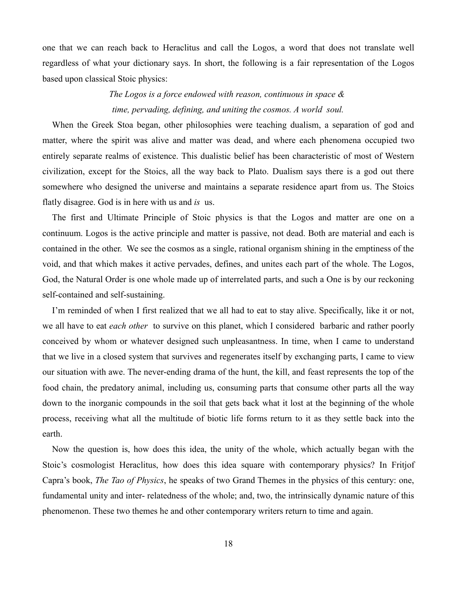one that we can reach back to Heraclitus and call the Logos, a word that does not translate well regardless of what your dictionary says. In short, the following is a fair representation of the Logos based upon classical Stoic physics:

# *The Logos is a force endowed with reason, continuous in space & time, pervading, defining, and uniting the cosmos. A world soul.*

When the Greek Stoa began, other philosophies were teaching dualism, a separation of god and matter, where the spirit was alive and matter was dead, and where each phenomena occupied two entirely separate realms of existence. This dualistic belief has been characteristic of most of Western civilization, except for the Stoics, all the way back to Plato. Dualism says there is a god out there somewhere who designed the universe and maintains a separate residence apart from us. The Stoics flatly disagree. God is in here with us and *is* us.

The first and Ultimate Principle of Stoic physics is that the Logos and matter are one on a continuum. Logos is the active principle and matter is passive, not dead. Both are material and each is contained in the other. We see the cosmos as a single, rational organism shining in the emptiness of the void, and that which makes it active pervades, defines, and unites each part of the whole. The Logos, God, the Natural Order is one whole made up of interrelated parts, and such a One is by our reckoning self-contained and self-sustaining.

I'm reminded of when I first realized that we all had to eat to stay alive. Specifically, like it or not, we all have to eat *each other* to survive on this planet, which I considered barbaric and rather poorly conceived by whom or whatever designed such unpleasantness. In time, when I came to understand that we live in a closed system that survives and regenerates itself by exchanging parts, I came to view our situation with awe. The never-ending drama of the hunt, the kill, and feast represents the top of the food chain, the predatory animal, including us, consuming parts that consume other parts all the way down to the inorganic compounds in the soil that gets back what it lost at the beginning of the whole process, receiving what all the multitude of biotic life forms return to it as they settle back into the earth.

Now the question is, how does this idea, the unity of the whole, which actually began with the Stoic's cosmologist Heraclitus, how does this idea square with contemporary physics? In Fritjof Capra's book, *The Tao of Physics*, he speaks of two Grand Themes in the physics of this century: one, fundamental unity and inter- relatedness of the whole; and, two, the intrinsically dynamic nature of this phenomenon. These two themes he and other contemporary writers return to time and again.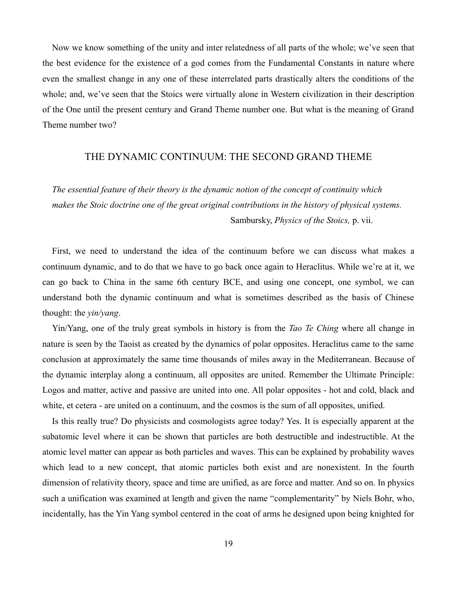Now we know something of the unity and inter relatedness of all parts of the whole; we've seen that the best evidence for the existence of a god comes from the Fundamental Constants in nature where even the smallest change in any one of these interrelated parts drastically alters the conditions of the whole; and, we've seen that the Stoics were virtually alone in Western civilization in their description of the One until the present century and Grand Theme number one. But what is the meaning of Grand Theme number two?

### THE DYNAMIC CONTINUUM: THE SECOND GRAND THEME

*The essential feature of their theory is the dynamic notion of the concept of continuity which makes the Stoic doctrine one of the great original contributions in the history of physical systems.*  Sambursky, *Physics of the Stoics,* p. vii.

First, we need to understand the idea of the continuum before we can discuss what makes a continuum dynamic, and to do that we have to go back once again to Heraclitus. While we're at it, we can go back to China in the same 6th century BCE, and using one concept, one symbol, we can understand both the dynamic continuum and what is sometimes described as the basis of Chinese thought: the *yin/yang*.

Yin/Yang, one of the truly great symbols in history is from the *Tao Te Ching* where all change in nature is seen by the Taoist as created by the dynamics of polar opposites. Heraclitus came to the same conclusion at approximately the same time thousands of miles away in the Mediterranean. Because of the dynamic interplay along a continuum, all opposites are united. Remember the Ultimate Principle: Logos and matter, active and passive are united into one. All polar opposites - hot and cold, black and white, et cetera - are united on a continuum, and the cosmos is the sum of all opposites, unified.

Is this really true? Do physicists and cosmologists agree today? Yes. It is especially apparent at the subatomic level where it can be shown that particles are both destructible and indestructible. At the atomic level matter can appear as both particles and waves. This can be explained by probability waves which lead to a new concept, that atomic particles both exist and are nonexistent. In the fourth dimension of relativity theory, space and time are unified, as are force and matter. And so on. In physics such a unification was examined at length and given the name "complementarity" by Niels Bohr, who, incidentally, has the Yin Yang symbol centered in the coat of arms he designed upon being knighted for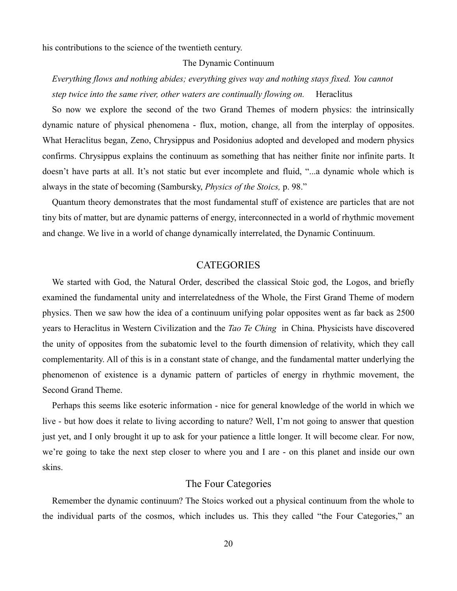his contributions to the science of the twentieth century.

#### The Dynamic Continuum

# *Everything flows and nothing abides; everything gives way and nothing stays fixed. You cannot step twice into the same river, other waters are continually flowing on.* Heraclitus

So now we explore the second of the two Grand Themes of modern physics: the intrinsically dynamic nature of physical phenomena - flux, motion, change, all from the interplay of opposites. What Heraclitus began, Zeno, Chrysippus and Posidonius adopted and developed and modern physics confirms. Chrysippus explains the continuum as something that has neither finite nor infinite parts. It doesn't have parts at all. It's not static but ever incomplete and fluid, "...a dynamic whole which is always in the state of becoming (Sambursky, *Physics of the Stoics,* p. 98."

Quantum theory demonstrates that the most fundamental stuff of existence are particles that are not tiny bits of matter, but are dynamic patterns of energy, interconnected in a world of rhythmic movement and change. We live in a world of change dynamically interrelated, the Dynamic Continuum.

# **CATEGORIES**

We started with God, the Natural Order, described the classical Stoic god, the Logos, and briefly examined the fundamental unity and interrelatedness of the Whole, the First Grand Theme of modern physics. Then we saw how the idea of a continuum unifying polar opposites went as far back as 2500 years to Heraclitus in Western Civilization and the *Tao Te Ching* in China. Physicists have discovered the unity of opposites from the subatomic level to the fourth dimension of relativity, which they call complementarity. All of this is in a constant state of change, and the fundamental matter underlying the phenomenon of existence is a dynamic pattern of particles of energy in rhythmic movement, the Second Grand Theme.

Perhaps this seems like esoteric information - nice for general knowledge of the world in which we live - but how does it relate to living according to nature? Well, I'm not going to answer that question just yet, and I only brought it up to ask for your patience a little longer. It will become clear. For now, we're going to take the next step closer to where you and I are - on this planet and inside our own skins.

# The Four Categories

Remember the dynamic continuum? The Stoics worked out a physical continuum from the whole to the individual parts of the cosmos, which includes us. This they called "the Four Categories," an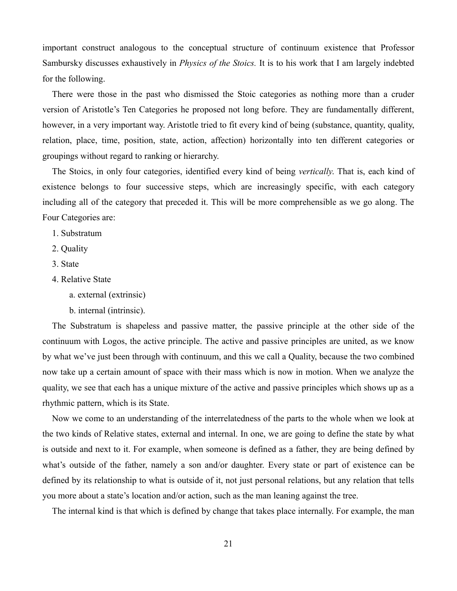important construct analogous to the conceptual structure of continuum existence that Professor Sambursky discusses exhaustively in *Physics of the Stoics.* It is to his work that I am largely indebted for the following.

There were those in the past who dismissed the Stoic categories as nothing more than a cruder version of Aristotle's Ten Categories he proposed not long before. They are fundamentally different, however, in a very important way. Aristotle tried to fit every kind of being (substance, quantity, quality, relation, place, time, position, state, action, affection) horizontally into ten different categories or groupings without regard to ranking or hierarchy.

The Stoics, in only four categories, identified every kind of being *vertically*. That is, each kind of existence belongs to four successive steps, which are increasingly specific, with each category including all of the category that preceded it. This will be more comprehensible as we go along. The Four Categories are:

- 1. Substratum
- 2. Quality
- 3. State
- 4. Relative State
	- a. external (extrinsic)
	- b. internal (intrinsic).

The Substratum is shapeless and passive matter, the passive principle at the other side of the continuum with Logos, the active principle. The active and passive principles are united, as we know by what we've just been through with continuum, and this we call a Quality, because the two combined now take up a certain amount of space with their mass which is now in motion. When we analyze the quality, we see that each has a unique mixture of the active and passive principles which shows up as a rhythmic pattern, which is its State.

Now we come to an understanding of the interrelatedness of the parts to the whole when we look at the two kinds of Relative states, external and internal. In one, we are going to define the state by what is outside and next to it. For example, when someone is defined as a father, they are being defined by what's outside of the father, namely a son and/or daughter. Every state or part of existence can be defined by its relationship to what is outside of it, not just personal relations, but any relation that tells you more about a state's location and/or action, such as the man leaning against the tree.

The internal kind is that which is defined by change that takes place internally. For example, the man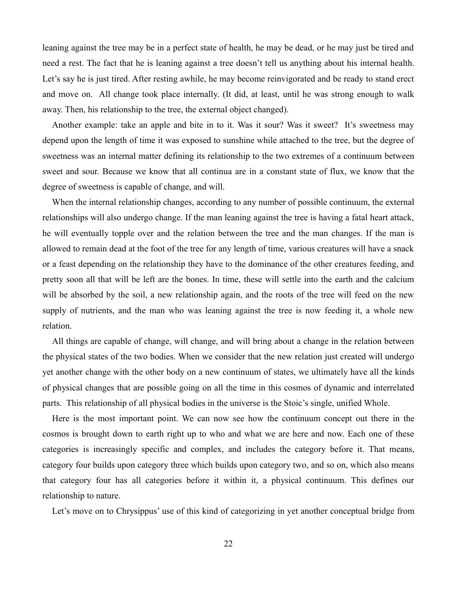leaning against the tree may be in a perfect state of health, he may be dead, or he may just be tired and need a rest. The fact that he is leaning against a tree doesn't tell us anything about his internal health. Let's say he is just tired. After resting awhile, he may become reinvigorated and be ready to stand erect and move on. All change took place internally. (It did, at least, until he was strong enough to walk away. Then, his relationship to the tree, the external object changed).

Another example: take an apple and bite in to it. Was it sour? Was it sweet? It's sweetness may depend upon the length of time it was exposed to sunshine while attached to the tree, but the degree of sweetness was an internal matter defining its relationship to the two extremes of a continuum between sweet and sour. Because we know that all continua are in a constant state of flux, we know that the degree of sweetness is capable of change, and will.

When the internal relationship changes, according to any number of possible continuum, the external relationships will also undergo change. If the man leaning against the tree is having a fatal heart attack, he will eventually topple over and the relation between the tree and the man changes. If the man is allowed to remain dead at the foot of the tree for any length of time, various creatures will have a snack or a feast depending on the relationship they have to the dominance of the other creatures feeding, and pretty soon all that will be left are the bones. In time, these will settle into the earth and the calcium will be absorbed by the soil, a new relationship again, and the roots of the tree will feed on the new supply of nutrients, and the man who was leaning against the tree is now feeding it, a whole new relation.

All things are capable of change, will change, and will bring about a change in the relation between the physical states of the two bodies. When we consider that the new relation just created will undergo yet another change with the other body on a new continuum of states, we ultimately have all the kinds of physical changes that are possible going on all the time in this cosmos of dynamic and interrelated parts. This relationship of all physical bodies in the universe is the Stoic's single, unified Whole.

Here is the most important point. We can now see how the continuum concept out there in the cosmos is brought down to earth right up to who and what we are here and now. Each one of these categories is increasingly specific and complex, and includes the category before it. That means, category four builds upon category three which builds upon category two, and so on, which also means that category four has all categories before it within it, a physical continuum. This defines our relationship to nature.

Let's move on to Chrysippus' use of this kind of categorizing in yet another conceptual bridge from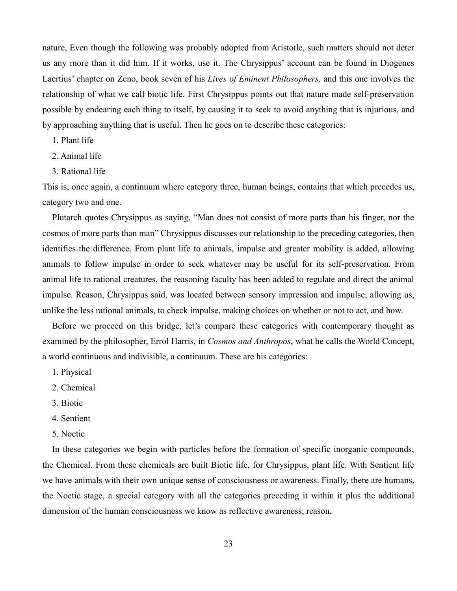nature, Even though the following was probably adopted from Aristotle, such matters should not deter us any more than it did him. If it works, use it. The Chrysippus' account can be found in Diogenes Laertius' chapter on Zeno, book seven of his *Lives of Eminent Philosophers,* and this one involves the relationship of what we call biotic life. First Chrysippus points out that nature made self-preservation possible by endearing each thing to itself, by causing it to seek to avoid anything that is injurious, and by approaching anything that is useful. Then he goes on to describe these categories:

- 1. Plant life
- 2. Animal life
- 3. Rational life

This is, once again, a continuum where category three, human beings, contains that which precedes us, category two and one.

Plutarch quotes Chrysippus as saying, "Man does not consist of more parts than his finger, nor the cosmos of more parts than man" Chrysippus discusses our relationship to the preceding categories, then identifies the difference. From plant life to animals, impulse and greater mobility is added, allowing animals to follow impulse in order to seek whatever may be useful for its self-preservation. From animal life to rational creatures, the reasoning faculty has been added to regulate and direct the animal impulse. Reason, Chrysippus said, was located between sensory impression and impulse, allowing us, unlike the less rational animals, to check impulse, making choices on whether or not to act, and how.

Before we proceed on this bridge, let's compare these categories with contemporary thought as examined by the philosopher, Errol Harris, in *Cosmos and Anthropos*, what he calls the World Concept, a world continuous and indivisible, a continuum. These are his categories:

- 1. Physical
- 2. Chemical
- 3. Biotic
- 4. Sentient
- 5. Noetic

In these categories we begin with particles before the formation of specific inorganic compounds, the Chemical. From these chemicals are built Biotic life, for Chrysippus, plant life. With Sentient life we have animals with their own unique sense of consciousness or awareness. Finally, there are humans, the Noetic stage, a special category with all the categories preceding it within it plus the additional dimension of the human consciousness we know as reflective awareness, reason.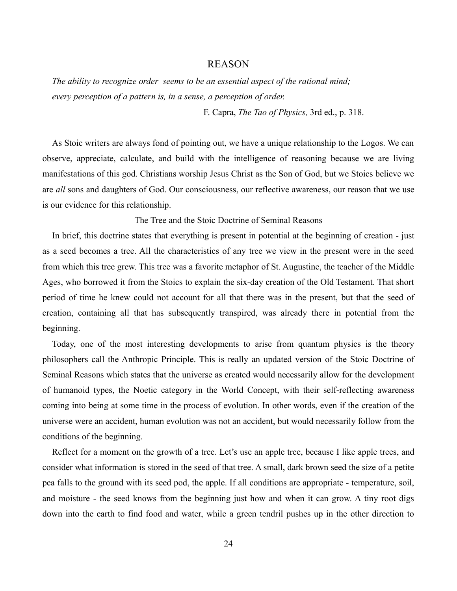#### REASON

*The ability to recognize order seems to be an essential aspect of the rational mind; every perception of a pattern is, in a sense, a perception of order.*

F. Capra, *The Tao of Physics,* 3rd ed., p. 318.

As Stoic writers are always fond of pointing out, we have a unique relationship to the Logos. We can observe, appreciate, calculate, and build with the intelligence of reasoning because we are living manifestations of this god. Christians worship Jesus Christ as the Son of God, but we Stoics believe we are *all* sons and daughters of God. Our consciousness, our reflective awareness, our reason that we use is our evidence for this relationship.

The Tree and the Stoic Doctrine of Seminal Reasons

In brief, this doctrine states that everything is present in potential at the beginning of creation - just as a seed becomes a tree. All the characteristics of any tree we view in the present were in the seed from which this tree grew. This tree was a favorite metaphor of St. Augustine, the teacher of the Middle Ages, who borrowed it from the Stoics to explain the six-day creation of the Old Testament. That short period of time he knew could not account for all that there was in the present, but that the seed of creation, containing all that has subsequently transpired, was already there in potential from the beginning.

Today, one of the most interesting developments to arise from quantum physics is the theory philosophers call the Anthropic Principle. This is really an updated version of the Stoic Doctrine of Seminal Reasons which states that the universe as created would necessarily allow for the development of humanoid types, the Noetic category in the World Concept, with their self-reflecting awareness coming into being at some time in the process of evolution. In other words, even if the creation of the universe were an accident, human evolution was not an accident, but would necessarily follow from the conditions of the beginning.

Reflect for a moment on the growth of a tree. Let's use an apple tree, because I like apple trees, and consider what information is stored in the seed of that tree. A small, dark brown seed the size of a petite pea falls to the ground with its seed pod, the apple. If all conditions are appropriate - temperature, soil, and moisture - the seed knows from the beginning just how and when it can grow. A tiny root digs down into the earth to find food and water, while a green tendril pushes up in the other direction to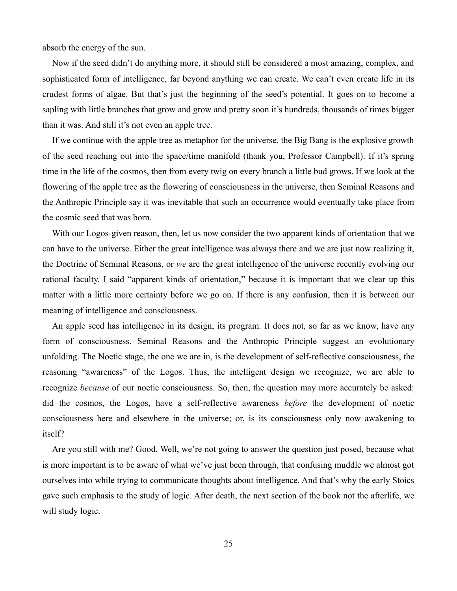absorb the energy of the sun.

Now if the seed didn't do anything more, it should still be considered a most amazing, complex, and sophisticated form of intelligence, far beyond anything we can create. We can't even create life in its crudest forms of algae. But that's just the beginning of the seed's potential. It goes on to become a sapling with little branches that grow and grow and pretty soon it's hundreds, thousands of times bigger than it was. And still it's not even an apple tree.

If we continue with the apple tree as metaphor for the universe, the Big Bang is the explosive growth of the seed reaching out into the space/time manifold (thank you, Professor Campbell). If it's spring time in the life of the cosmos, then from every twig on every branch a little bud grows. If we look at the flowering of the apple tree as the flowering of consciousness in the universe, then Seminal Reasons and the Anthropic Principle say it was inevitable that such an occurrence would eventually take place from the cosmic seed that was born.

With our Logos-given reason, then, let us now consider the two apparent kinds of orientation that we can have to the universe. Either the great intelligence was always there and we are just now realizing it, the Doctrine of Seminal Reasons, or *we* are the great intelligence of the universe recently evolving our rational faculty. I said "apparent kinds of orientation," because it is important that we clear up this matter with a little more certainty before we go on. If there is any confusion, then it is between our meaning of intelligence and consciousness.

An apple seed has intelligence in its design, its program. It does not, so far as we know, have any form of consciousness. Seminal Reasons and the Anthropic Principle suggest an evolutionary unfolding. The Noetic stage, the one we are in, is the development of self-reflective consciousness, the reasoning "awareness" of the Logos. Thus, the intelligent design we recognize, we are able to recognize *because* of our noetic consciousness. So, then, the question may more accurately be asked: did the cosmos, the Logos, have a self-reflective awareness *before* the development of noetic consciousness here and elsewhere in the universe; or, is its consciousness only now awakening to itself?

Are you still with me? Good. Well, we're not going to answer the question just posed, because what is more important is to be aware of what we've just been through, that confusing muddle we almost got ourselves into while trying to communicate thoughts about intelligence. And that's why the early Stoics gave such emphasis to the study of logic. After death, the next section of the book not the afterlife, we will study logic.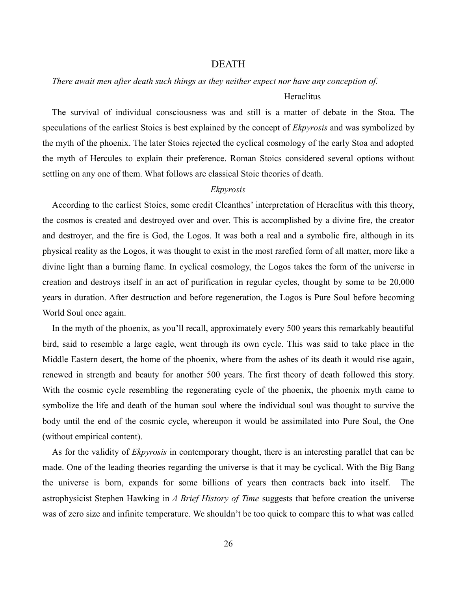### DEATH

#### *There await men after death such things as they neither expect nor have any conception of.*

#### **Heraclitus**

The survival of individual consciousness was and still is a matter of debate in the Stoa. The speculations of the earliest Stoics is best explained by the concept of *Ekpyrosis* and was symbolized by the myth of the phoenix. The later Stoics rejected the cyclical cosmology of the early Stoa and adopted the myth of Hercules to explain their preference. Roman Stoics considered several options without settling on any one of them. What follows are classical Stoic theories of death.

#### *Ekpyrosis*

According to the earliest Stoics, some credit Cleanthes' interpretation of Heraclitus with this theory, the cosmos is created and destroyed over and over. This is accomplished by a divine fire, the creator and destroyer, and the fire is God, the Logos. It was both a real and a symbolic fire, although in its physical reality as the Logos, it was thought to exist in the most rarefied form of all matter, more like a divine light than a burning flame. In cyclical cosmology, the Logos takes the form of the universe in creation and destroys itself in an act of purification in regular cycles, thought by some to be 20,000 years in duration. After destruction and before regeneration, the Logos is Pure Soul before becoming World Soul once again.

In the myth of the phoenix, as you'll recall, approximately every 500 years this remarkably beautiful bird, said to resemble a large eagle, went through its own cycle. This was said to take place in the Middle Eastern desert, the home of the phoenix, where from the ashes of its death it would rise again, renewed in strength and beauty for another 500 years. The first theory of death followed this story. With the cosmic cycle resembling the regenerating cycle of the phoenix, the phoenix myth came to symbolize the life and death of the human soul where the individual soul was thought to survive the body until the end of the cosmic cycle, whereupon it would be assimilated into Pure Soul, the One (without empirical content).

As for the validity of *Ekpyrosis* in contemporary thought, there is an interesting parallel that can be made. One of the leading theories regarding the universe is that it may be cyclical. With the Big Bang the universe is born, expands for some billions of years then contracts back into itself. The astrophysicist Stephen Hawking in *A Brief History of Time* suggests that before creation the universe was of zero size and infinite temperature. We shouldn't be too quick to compare this to what was called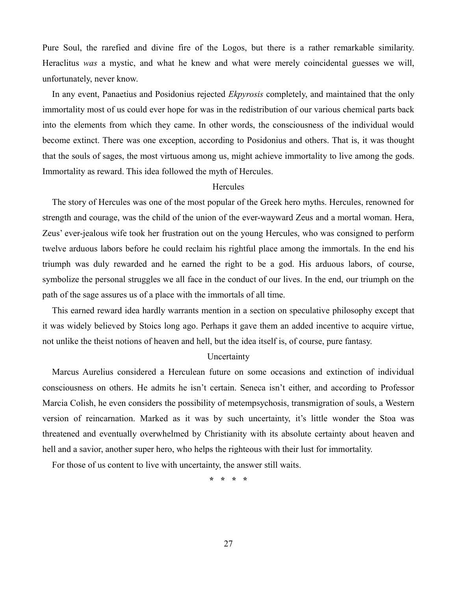Pure Soul, the rarefied and divine fire of the Logos, but there is a rather remarkable similarity. Heraclitus *was* a mystic, and what he knew and what were merely coincidental guesses we will, unfortunately, never know.

In any event, Panaetius and Posidonius rejected *Ekpyrosis* completely, and maintained that the only immortality most of us could ever hope for was in the redistribution of our various chemical parts back into the elements from which they came. In other words, the consciousness of the individual would become extinct. There was one exception, according to Posidonius and others. That is, it was thought that the souls of sages, the most virtuous among us, might achieve immortality to live among the gods. Immortality as reward. This idea followed the myth of Hercules.

#### **Hercules**

The story of Hercules was one of the most popular of the Greek hero myths. Hercules, renowned for strength and courage, was the child of the union of the ever-wayward Zeus and a mortal woman. Hera, Zeus' ever-jealous wife took her frustration out on the young Hercules, who was consigned to perform twelve arduous labors before he could reclaim his rightful place among the immortals. In the end his triumph was duly rewarded and he earned the right to be a god. His arduous labors, of course, symbolize the personal struggles we all face in the conduct of our lives. In the end, our triumph on the path of the sage assures us of a place with the immortals of all time.

This earned reward idea hardly warrants mention in a section on speculative philosophy except that it was widely believed by Stoics long ago. Perhaps it gave them an added incentive to acquire virtue, not unlike the theist notions of heaven and hell, but the idea itself is, of course, pure fantasy.

#### **Uncertainty**

Marcus Aurelius considered a Herculean future on some occasions and extinction of individual consciousness on others. He admits he isn't certain. Seneca isn't either, and according to Professor Marcia Colish, he even considers the possibility of metempsychosis, transmigration of souls, a Western version of reincarnation. Marked as it was by such uncertainty, it's little wonder the Stoa was threatened and eventually overwhelmed by Christianity with its absolute certainty about heaven and hell and a savior, another super hero, who helps the righteous with their lust for immortality.

For those of us content to live with uncertainty, the answer still waits.

**\* \* \* \***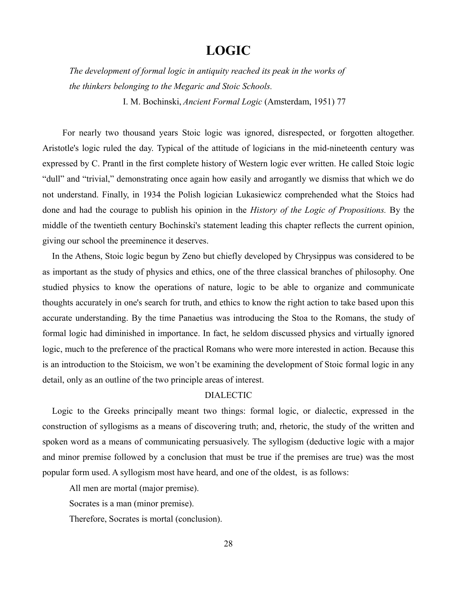# **LOGIC**

*The development of formal logic in antiquity reached its peak in the works of the thinkers belonging to the Megaric and Stoic Schools.*

I. M. Bochinski, *Ancient Formal Logic* (Amsterdam, 1951) 77

 For nearly two thousand years Stoic logic was ignored, disrespected, or forgotten altogether. Aristotle's logic ruled the day. Typical of the attitude of logicians in the mid-nineteenth century was expressed by C. Prantl in the first complete history of Western logic ever written. He called Stoic logic "dull" and "trivial," demonstrating once again how easily and arrogantly we dismiss that which we do not understand. Finally, in 1934 the Polish logician Lukasiewicz comprehended what the Stoics had done and had the courage to publish his opinion in the *History of the Logic of Propositions.* By the middle of the twentieth century Bochinski's statement leading this chapter reflects the current opinion, giving our school the preeminence it deserves.

In the Athens, Stoic logic begun by Zeno but chiefly developed by Chrysippus was considered to be as important as the study of physics and ethics, one of the three classical branches of philosophy. One studied physics to know the operations of nature, logic to be able to organize and communicate thoughts accurately in one's search for truth, and ethics to know the right action to take based upon this accurate understanding. By the time Panaetius was introducing the Stoa to the Romans, the study of formal logic had diminished in importance. In fact, he seldom discussed physics and virtually ignored logic, much to the preference of the practical Romans who were more interested in action. Because this is an introduction to the Stoicism, we won't be examining the development of Stoic formal logic in any detail, only as an outline of the two principle areas of interest.

### DIALECTIC

Logic to the Greeks principally meant two things: formal logic, or dialectic, expressed in the construction of syllogisms as a means of discovering truth; and, rhetoric, the study of the written and spoken word as a means of communicating persuasively. The syllogism (deductive logic with a major and minor premise followed by a conclusion that must be true if the premises are true) was the most popular form used. A syllogism most have heard, and one of the oldest, is as follows:

All men are mortal (major premise).

Socrates is a man (minor premise).

Therefore, Socrates is mortal (conclusion).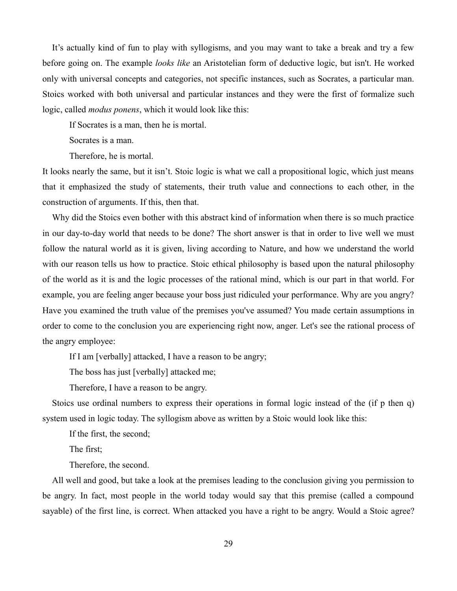It's actually kind of fun to play with syllogisms, and you may want to take a break and try a few before going on. The example *looks like* an Aristotelian form of deductive logic, but isn't. He worked only with universal concepts and categories, not specific instances, such as Socrates, a particular man. Stoics worked with both universal and particular instances and they were the first of formalize such logic, called *modus ponens*, which it would look like this:

If Socrates is a man, then he is mortal.

Socrates is a man.

Therefore, he is mortal.

It looks nearly the same, but it isn't. Stoic logic is what we call a propositional logic, which just means that it emphasized the study of statements, their truth value and connections to each other, in the construction of arguments. If this, then that.

Why did the Stoics even bother with this abstract kind of information when there is so much practice in our day-to-day world that needs to be done? The short answer is that in order to live well we must follow the natural world as it is given, living according to Nature, and how we understand the world with our reason tells us how to practice. Stoic ethical philosophy is based upon the natural philosophy of the world as it is and the logic processes of the rational mind, which is our part in that world. For example, you are feeling anger because your boss just ridiculed your performance. Why are you angry? Have you examined the truth value of the premises you've assumed? You made certain assumptions in order to come to the conclusion you are experiencing right now, anger. Let's see the rational process of the angry employee:

If I am [verbally] attacked, I have a reason to be angry;

The boss has just [verbally] attacked me;

Therefore, I have a reason to be angry.

Stoics use ordinal numbers to express their operations in formal logic instead of the (if p then q) system used in logic today. The syllogism above as written by a Stoic would look like this:

If the first, the second;

The first;

Therefore, the second.

All well and good, but take a look at the premises leading to the conclusion giving you permission to be angry. In fact, most people in the world today would say that this premise (called a compound sayable) of the first line, is correct. When attacked you have a right to be angry. Would a Stoic agree?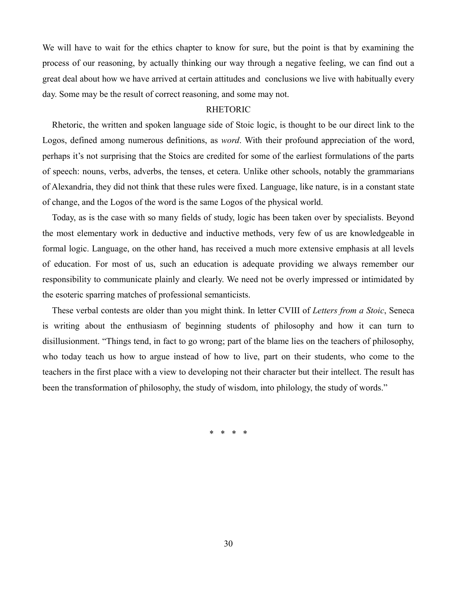We will have to wait for the ethics chapter to know for sure, but the point is that by examining the process of our reasoning, by actually thinking our way through a negative feeling, we can find out a great deal about how we have arrived at certain attitudes and conclusions we live with habitually every day. Some may be the result of correct reasoning, and some may not.

#### RHETORIC

Rhetoric, the written and spoken language side of Stoic logic, is thought to be our direct link to the Logos, defined among numerous definitions, as *word*. With their profound appreciation of the word, perhaps it's not surprising that the Stoics are credited for some of the earliest formulations of the parts of speech: nouns, verbs, adverbs, the tenses, et cetera. Unlike other schools, notably the grammarians of Alexandria, they did not think that these rules were fixed. Language, like nature, is in a constant state of change, and the Logos of the word is the same Logos of the physical world.

Today, as is the case with so many fields of study, logic has been taken over by specialists. Beyond the most elementary work in deductive and inductive methods, very few of us are knowledgeable in formal logic. Language, on the other hand, has received a much more extensive emphasis at all levels of education. For most of us, such an education is adequate providing we always remember our responsibility to communicate plainly and clearly. We need not be overly impressed or intimidated by the esoteric sparring matches of professional semanticists.

These verbal contests are older than you might think. In letter CVIII of *Letters from a Stoic*, Seneca is writing about the enthusiasm of beginning students of philosophy and how it can turn to disillusionment. "Things tend, in fact to go wrong; part of the blame lies on the teachers of philosophy, who today teach us how to argue instead of how to live, part on their students, who come to the teachers in the first place with a view to developing not their character but their intellect. The result has been the transformation of philosophy, the study of wisdom, into philology, the study of words."

\* \* \* \*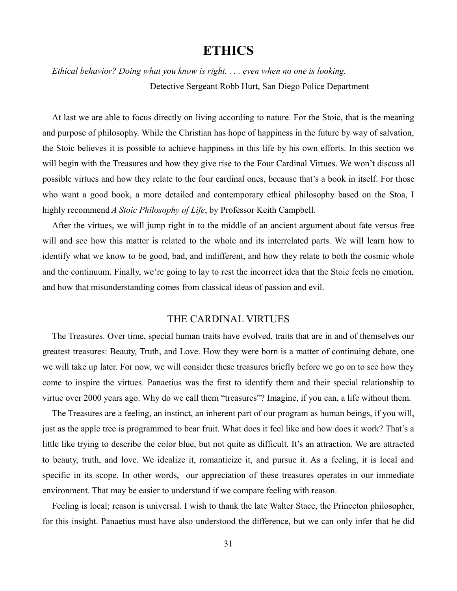# **ETHICS**

*Ethical behavior? Doing what you know is right. . . . even when no one is looking.* Detective Sergeant Robb Hurt, San Diego Police Department

At last we are able to focus directly on living according to nature. For the Stoic, that is the meaning and purpose of philosophy. While the Christian has hope of happiness in the future by way of salvation, the Stoic believes it is possible to achieve happiness in this life by his own efforts. In this section we will begin with the Treasures and how they give rise to the Four Cardinal Virtues. We won't discuss all possible virtues and how they relate to the four cardinal ones, because that's a book in itself. For those who want a good book, a more detailed and contemporary ethical philosophy based on the Stoa, I highly recommend *A Stoic Philosophy of Life*, by Professor Keith Campbell.

After the virtues, we will jump right in to the middle of an ancient argument about fate versus free will and see how this matter is related to the whole and its interrelated parts. We will learn how to identify what we know to be good, bad, and indifferent, and how they relate to both the cosmic whole and the continuum. Finally, we're going to lay to rest the incorrect idea that the Stoic feels no emotion, and how that misunderstanding comes from classical ideas of passion and evil.

# THE CARDINAL VIRTUES

The Treasures. Over time, special human traits have evolved, traits that are in and of themselves our greatest treasures: Beauty, Truth, and Love. How they were born is a matter of continuing debate, one we will take up later. For now, we will consider these treasures briefly before we go on to see how they come to inspire the virtues. Panaetius was the first to identify them and their special relationship to virtue over 2000 years ago. Why do we call them "treasures"? Imagine, if you can, a life without them.

The Treasures are a feeling, an instinct, an inherent part of our program as human beings, if you will, just as the apple tree is programmed to bear fruit. What does it feel like and how does it work? That's a little like trying to describe the color blue, but not quite as difficult. It's an attraction. We are attracted to beauty, truth, and love. We idealize it, romanticize it, and pursue it. As a feeling, it is local and specific in its scope. In other words, our appreciation of these treasures operates in our immediate environment. That may be easier to understand if we compare feeling with reason.

Feeling is local; reason is universal. I wish to thank the late Walter Stace, the Princeton philosopher, for this insight. Panaetius must have also understood the difference, but we can only infer that he did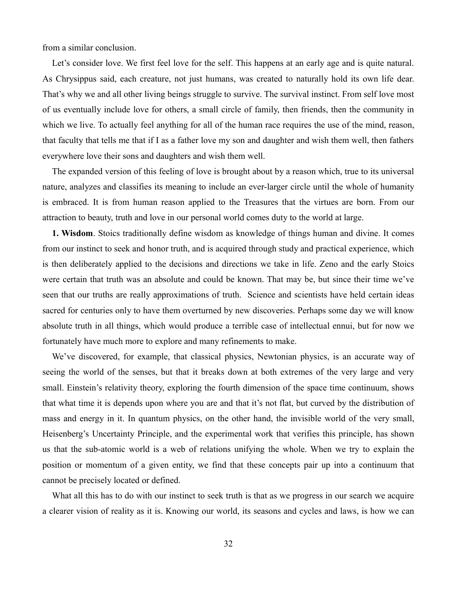from a similar conclusion.

Let's consider love. We first feel love for the self. This happens at an early age and is quite natural. As Chrysippus said, each creature, not just humans, was created to naturally hold its own life dear. That's why we and all other living beings struggle to survive. The survival instinct. From self love most of us eventually include love for others, a small circle of family, then friends, then the community in which we live. To actually feel anything for all of the human race requires the use of the mind, reason, that faculty that tells me that if I as a father love my son and daughter and wish them well, then fathers everywhere love their sons and daughters and wish them well.

The expanded version of this feeling of love is brought about by a reason which, true to its universal nature, analyzes and classifies its meaning to include an ever-larger circle until the whole of humanity is embraced. It is from human reason applied to the Treasures that the virtues are born. From our attraction to beauty, truth and love in our personal world comes duty to the world at large.

**1. Wisdom**. Stoics traditionally define wisdom as knowledge of things human and divine. It comes from our instinct to seek and honor truth, and is acquired through study and practical experience, which is then deliberately applied to the decisions and directions we take in life. Zeno and the early Stoics were certain that truth was an absolute and could be known. That may be, but since their time we've seen that our truths are really approximations of truth. Science and scientists have held certain ideas sacred for centuries only to have them overturned by new discoveries. Perhaps some day we will know absolute truth in all things, which would produce a terrible case of intellectual ennui, but for now we fortunately have much more to explore and many refinements to make.

We've discovered, for example, that classical physics, Newtonian physics, is an accurate way of seeing the world of the senses, but that it breaks down at both extremes of the very large and very small. Einstein's relativity theory, exploring the fourth dimension of the space time continuum, shows that what time it is depends upon where you are and that it's not flat, but curved by the distribution of mass and energy in it. In quantum physics, on the other hand, the invisible world of the very small, Heisenberg's Uncertainty Principle, and the experimental work that verifies this principle, has shown us that the sub-atomic world is a web of relations unifying the whole. When we try to explain the position or momentum of a given entity, we find that these concepts pair up into a continuum that cannot be precisely located or defined.

What all this has to do with our instinct to seek truth is that as we progress in our search we acquire a clearer vision of reality as it is. Knowing our world, its seasons and cycles and laws, is how we can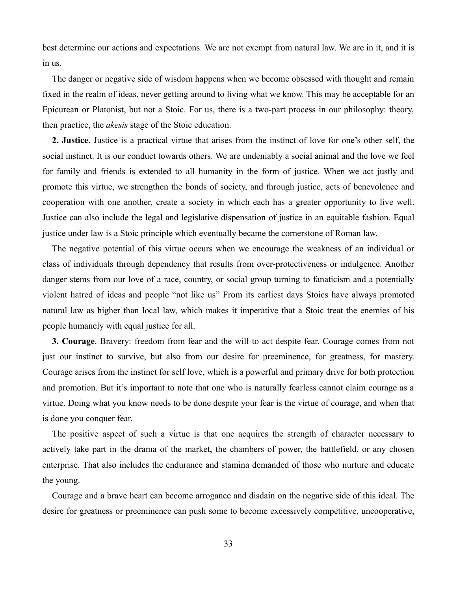best determine our actions and expectations. We are not exempt from natural law. We are in it, and it is in us.

The danger or negative side of wisdom happens when we become obsessed with thought and remain fixed in the realm of ideas, never getting around to living what we know. This may be acceptable for an Epicurean or Platonist, but not a Stoic. For us, there is a two-part process in our philosophy: theory, then practice, the *akesis* stage of the Stoic education.

**2. Justice**. Justice is a practical virtue that arises from the instinct of love for one's other self, the social instinct. It is our conduct towards others. We are undeniably a social animal and the love we feel for family and friends is extended to all humanity in the form of justice. When we act justly and promote this virtue, we strengthen the bonds of society, and through justice, acts of benevolence and cooperation with one another, create a society in which each has a greater opportunity to live well. Justice can also include the legal and legislative dispensation of justice in an equitable fashion. Equal justice under law is a Stoic principle which eventually became the cornerstone of Roman law.

The negative potential of this virtue occurs when we encourage the weakness of an individual or class of individuals through dependency that results from over-protectiveness or indulgence. Another danger stems from our love of a race, country, or social group turning to fanaticism and a potentially violent hatred of ideas and people "not like us" From its earliest days Stoics have always promoted natural law as higher than local law, which makes it imperative that a Stoic treat the enemies of his people humanely with equal justice for all.

**3. Courage**. Bravery: freedom from fear and the will to act despite fear. Courage comes from not just our instinct to survive, but also from our desire for preeminence, for greatness, for mastery. Courage arises from the instinct for self love, which is a powerful and primary drive for both protection and promotion. But it's important to note that one who is naturally fearless cannot claim courage as a virtue. Doing what you know needs to be done despite your fear is the virtue of courage, and when that is done you conquer fear.

The positive aspect of such a virtue is that one acquires the strength of character necessary to actively take part in the drama of the market, the chambers of power, the battlefield, or any chosen enterprise. That also includes the endurance and stamina demanded of those who nurture and educate the young.

Courage and a brave heart can become arrogance and disdain on the negative side of this ideal. The desire for greatness or preeminence can push some to become excessively competitive, uncooperative,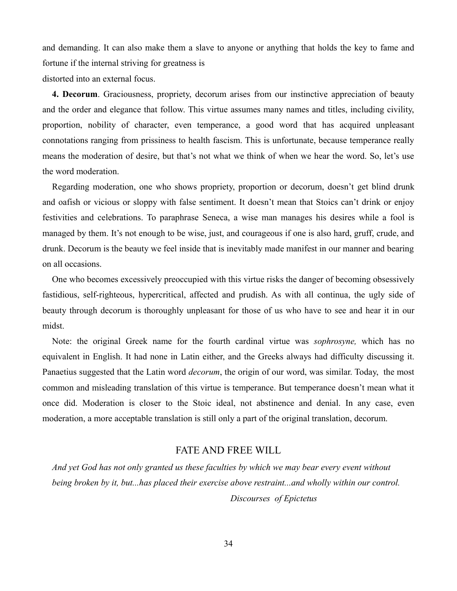and demanding. It can also make them a slave to anyone or anything that holds the key to fame and fortune if the internal striving for greatness is distorted into an external focus.

**4. Decorum**. Graciousness, propriety, decorum arises from our instinctive appreciation of beauty and the order and elegance that follow. This virtue assumes many names and titles, including civility, proportion, nobility of character, even temperance, a good word that has acquired unpleasant connotations ranging from prissiness to health fascism. This is unfortunate, because temperance really means the moderation of desire, but that's not what we think of when we hear the word. So, let's use the word moderation.

Regarding moderation, one who shows propriety, proportion or decorum, doesn't get blind drunk and oafish or vicious or sloppy with false sentiment. It doesn't mean that Stoics can't drink or enjoy festivities and celebrations. To paraphrase Seneca, a wise man manages his desires while a fool is managed by them. It's not enough to be wise, just, and courageous if one is also hard, gruff, crude, and drunk. Decorum is the beauty we feel inside that is inevitably made manifest in our manner and bearing on all occasions.

One who becomes excessively preoccupied with this virtue risks the danger of becoming obsessively fastidious, self-righteous, hypercritical, affected and prudish. As with all continua, the ugly side of beauty through decorum is thoroughly unpleasant for those of us who have to see and hear it in our midst.

Note: the original Greek name for the fourth cardinal virtue was *sophrosyne,* which has no equivalent in English. It had none in Latin either, and the Greeks always had difficulty discussing it. Panaetius suggested that the Latin word *decorum*, the origin of our word, was similar. Today, the most common and misleading translation of this virtue is temperance. But temperance doesn't mean what it once did. Moderation is closer to the Stoic ideal, not abstinence and denial. In any case, even moderation, a more acceptable translation is still only a part of the original translation, decorum.

### FATE AND FREE WILL

*And yet God has not only granted us these faculties by which we may bear every event without being broken by it, but...has placed their exercise above restraint...and wholly within our control.* 

*Discourses of Epictetus*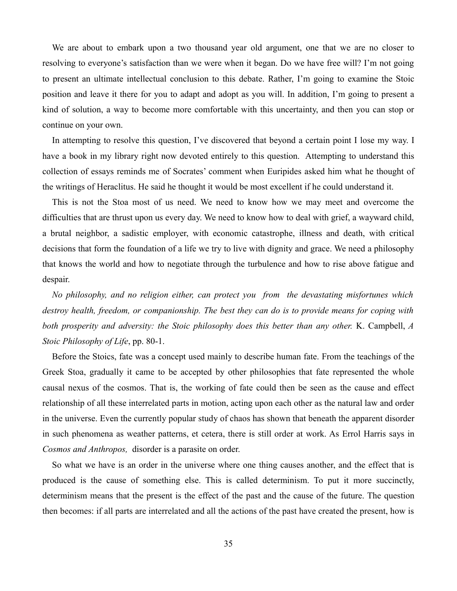We are about to embark upon a two thousand year old argument, one that we are no closer to resolving to everyone's satisfaction than we were when it began. Do we have free will? I'm not going to present an ultimate intellectual conclusion to this debate. Rather, I'm going to examine the Stoic position and leave it there for you to adapt and adopt as you will. In addition, I'm going to present a kind of solution, a way to become more comfortable with this uncertainty, and then you can stop or continue on your own.

In attempting to resolve this question, I've discovered that beyond a certain point I lose my way. I have a book in my library right now devoted entirely to this question. Attempting to understand this collection of essays reminds me of Socrates' comment when Euripides asked him what he thought of the writings of Heraclitus. He said he thought it would be most excellent if he could understand it.

This is not the Stoa most of us need. We need to know how we may meet and overcome the difficulties that are thrust upon us every day. We need to know how to deal with grief, a wayward child, a brutal neighbor, a sadistic employer, with economic catastrophe, illness and death, with critical decisions that form the foundation of a life we try to live with dignity and grace. We need a philosophy that knows the world and how to negotiate through the turbulence and how to rise above fatigue and despair.

*No philosophy, and no religion either, can protect you from the devastating misfortunes which destroy health, freedom, or companionship. The best they can do is to provide means for coping with both prosperity and adversity: the Stoic philosophy does this better than any other.* K. Campbell, *A Stoic Philosophy of Life*, pp. 80-1.

Before the Stoics, fate was a concept used mainly to describe human fate. From the teachings of the Greek Stoa, gradually it came to be accepted by other philosophies that fate represented the whole causal nexus of the cosmos. That is, the working of fate could then be seen as the cause and effect relationship of all these interrelated parts in motion, acting upon each other as the natural law and order in the universe. Even the currently popular study of chaos has shown that beneath the apparent disorder in such phenomena as weather patterns, et cetera, there is still order at work. As Errol Harris says in *Cosmos and Anthropos,* disorder is a parasite on order.

So what we have is an order in the universe where one thing causes another, and the effect that is produced is the cause of something else. This is called determinism. To put it more succinctly, determinism means that the present is the effect of the past and the cause of the future. The question then becomes: if all parts are interrelated and all the actions of the past have created the present, how is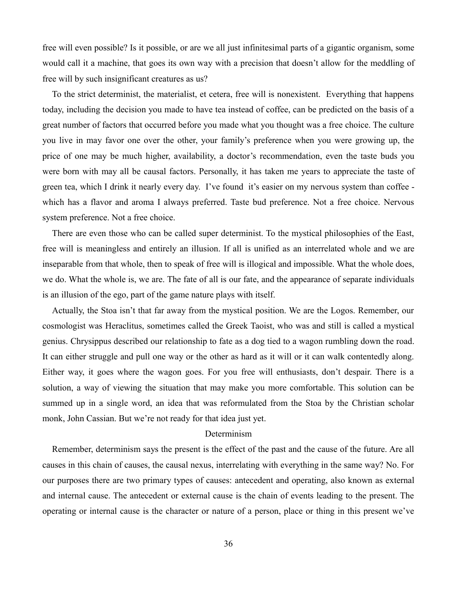free will even possible? Is it possible, or are we all just infinitesimal parts of a gigantic organism, some would call it a machine, that goes its own way with a precision that doesn't allow for the meddling of free will by such insignificant creatures as us?

To the strict determinist, the materialist, et cetera, free will is nonexistent. Everything that happens today, including the decision you made to have tea instead of coffee, can be predicted on the basis of a great number of factors that occurred before you made what you thought was a free choice. The culture you live in may favor one over the other, your family's preference when you were growing up, the price of one may be much higher, availability, a doctor's recommendation, even the taste buds you were born with may all be causal factors. Personally, it has taken me years to appreciate the taste of green tea, which I drink it nearly every day. I've found it's easier on my nervous system than coffee which has a flavor and aroma I always preferred. Taste bud preference. Not a free choice. Nervous system preference. Not a free choice.

There are even those who can be called super determinist. To the mystical philosophies of the East, free will is meaningless and entirely an illusion. If all is unified as an interrelated whole and we are inseparable from that whole, then to speak of free will is illogical and impossible. What the whole does, we do. What the whole is, we are. The fate of all is our fate, and the appearance of separate individuals is an illusion of the ego, part of the game nature plays with itself.

Actually, the Stoa isn't that far away from the mystical position. We are the Logos. Remember, our cosmologist was Heraclitus, sometimes called the Greek Taoist, who was and still is called a mystical genius. Chrysippus described our relationship to fate as a dog tied to a wagon rumbling down the road. It can either struggle and pull one way or the other as hard as it will or it can walk contentedly along. Either way, it goes where the wagon goes. For you free will enthusiasts, don't despair. There is a solution, a way of viewing the situation that may make you more comfortable. This solution can be summed up in a single word, an idea that was reformulated from the Stoa by the Christian scholar monk, John Cassian. But we're not ready for that idea just yet.

#### Determinism

Remember, determinism says the present is the effect of the past and the cause of the future. Are all causes in this chain of causes, the causal nexus, interrelating with everything in the same way? No. For our purposes there are two primary types of causes: antecedent and operating, also known as external and internal cause. The antecedent or external cause is the chain of events leading to the present. The operating or internal cause is the character or nature of a person, place or thing in this present we've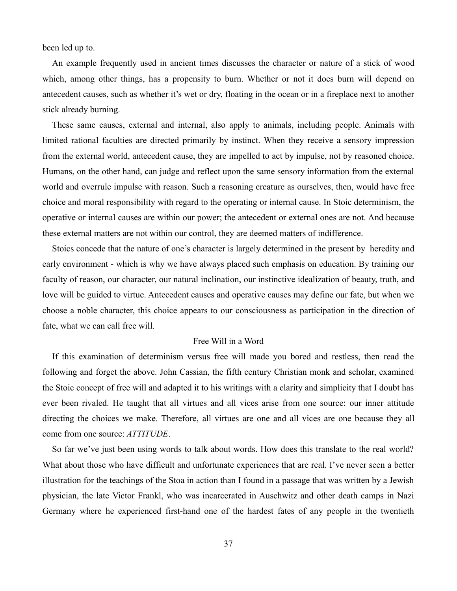been led up to.

An example frequently used in ancient times discusses the character or nature of a stick of wood which, among other things, has a propensity to burn. Whether or not it does burn will depend on antecedent causes, such as whether it's wet or dry, floating in the ocean or in a fireplace next to another stick already burning.

These same causes, external and internal, also apply to animals, including people. Animals with limited rational faculties are directed primarily by instinct. When they receive a sensory impression from the external world, antecedent cause, they are impelled to act by impulse, not by reasoned choice. Humans, on the other hand, can judge and reflect upon the same sensory information from the external world and overrule impulse with reason. Such a reasoning creature as ourselves, then, would have free choice and moral responsibility with regard to the operating or internal cause. In Stoic determinism, the operative or internal causes are within our power; the antecedent or external ones are not. And because these external matters are not within our control, they are deemed matters of indifference.

Stoics concede that the nature of one's character is largely determined in the present by heredity and early environment - which is why we have always placed such emphasis on education. By training our faculty of reason, our character, our natural inclination, our instinctive idealization of beauty, truth, and love will be guided to virtue. Antecedent causes and operative causes may define our fate, but when we choose a noble character, this choice appears to our consciousness as participation in the direction of fate, what we can call free will.

#### Free Will in a Word

If this examination of determinism versus free will made you bored and restless, then read the following and forget the above. John Cassian, the fifth century Christian monk and scholar, examined the Stoic concept of free will and adapted it to his writings with a clarity and simplicity that I doubt has ever been rivaled. He taught that all virtues and all vices arise from one source: our inner attitude directing the choices we make. Therefore, all virtues are one and all vices are one because they all come from one source: *ATTITUDE*.

So far we've just been using words to talk about words. How does this translate to the real world? What about those who have difficult and unfortunate experiences that are real. I've never seen a better illustration for the teachings of the Stoa in action than I found in a passage that was written by a Jewish physician, the late Victor Frankl, who was incarcerated in Auschwitz and other death camps in Nazi Germany where he experienced first-hand one of the hardest fates of any people in the twentieth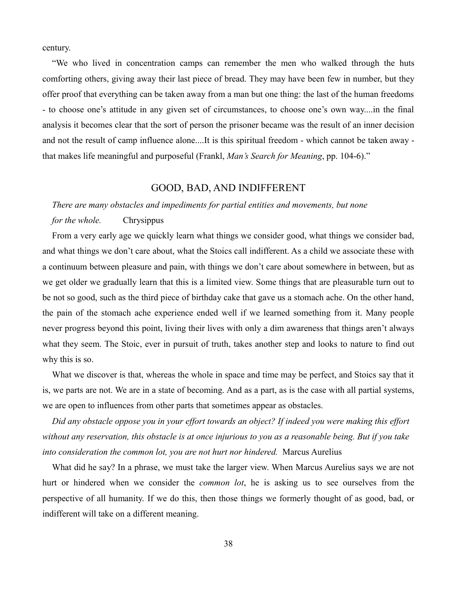century.

"We who lived in concentration camps can remember the men who walked through the huts comforting others, giving away their last piece of bread. They may have been few in number, but they offer proof that everything can be taken away from a man but one thing: the last of the human freedoms - to choose one's attitude in any given set of circumstances, to choose one's own way....in the final analysis it becomes clear that the sort of person the prisoner became was the result of an inner decision and not the result of camp influence alone....It is this spiritual freedom - which cannot be taken away that makes life meaningful and purposeful (Frankl, *Man's Search for Meaning*, pp. 104-6)."

# GOOD, BAD, AND INDIFFERENT

#### *There are many obstacles and impediments for partial entities and movements, but none*

#### *for the whole.* Chrysippus

From a very early age we quickly learn what things we consider good, what things we consider bad, and what things we don't care about, what the Stoics call indifferent. As a child we associate these with a continuum between pleasure and pain, with things we don't care about somewhere in between, but as we get older we gradually learn that this is a limited view. Some things that are pleasurable turn out to be not so good, such as the third piece of birthday cake that gave us a stomach ache. On the other hand, the pain of the stomach ache experience ended well if we learned something from it. Many people never progress beyond this point, living their lives with only a dim awareness that things aren't always what they seem. The Stoic, ever in pursuit of truth, takes another step and looks to nature to find out why this is so.

What we discover is that, whereas the whole in space and time may be perfect, and Stoics say that it is, we parts are not. We are in a state of becoming. And as a part, as is the case with all partial systems, we are open to influences from other parts that sometimes appear as obstacles.

*Did any obstacle oppose you in your effort towards an object? If indeed you were making this effort without any reservation, this obstacle is at once injurious to you as a reasonable being. But if you take into consideration the common lot, you are not hurt nor hindered.* Marcus Aurelius

What did he say? In a phrase, we must take the larger view. When Marcus Aurelius says we are not hurt or hindered when we consider the *common lot*, he is asking us to see ourselves from the perspective of all humanity. If we do this, then those things we formerly thought of as good, bad, or indifferent will take on a different meaning.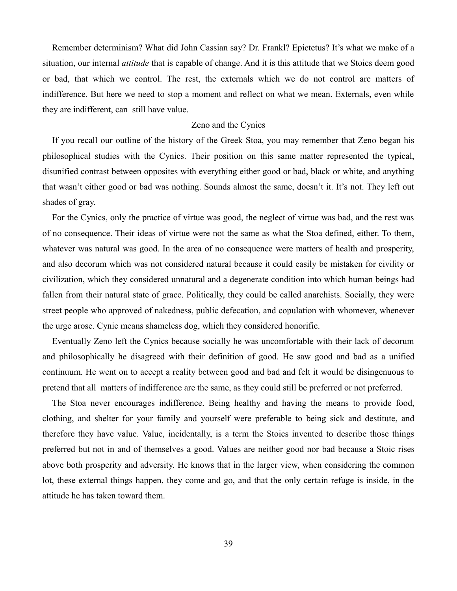Remember determinism? What did John Cassian say? Dr. Frankl? Epictetus? It's what we make of a situation, our internal *attitude* that is capable of change. And it is this attitude that we Stoics deem good or bad, that which we control. The rest, the externals which we do not control are matters of indifference. But here we need to stop a moment and reflect on what we mean. Externals, even while they are indifferent, can still have value.

#### Zeno and the Cynics

If you recall our outline of the history of the Greek Stoa, you may remember that Zeno began his philosophical studies with the Cynics. Their position on this same matter represented the typical, disunified contrast between opposites with everything either good or bad, black or white, and anything that wasn't either good or bad was nothing. Sounds almost the same, doesn't it. It's not. They left out shades of gray.

For the Cynics, only the practice of virtue was good, the neglect of virtue was bad, and the rest was of no consequence. Their ideas of virtue were not the same as what the Stoa defined, either. To them, whatever was natural was good. In the area of no consequence were matters of health and prosperity, and also decorum which was not considered natural because it could easily be mistaken for civility or civilization, which they considered unnatural and a degenerate condition into which human beings had fallen from their natural state of grace. Politically, they could be called anarchists. Socially, they were street people who approved of nakedness, public defecation, and copulation with whomever, whenever the urge arose. Cynic means shameless dog, which they considered honorific.

Eventually Zeno left the Cynics because socially he was uncomfortable with their lack of decorum and philosophically he disagreed with their definition of good. He saw good and bad as a unified continuum. He went on to accept a reality between good and bad and felt it would be disingenuous to pretend that all matters of indifference are the same, as they could still be preferred or not preferred.

The Stoa never encourages indifference. Being healthy and having the means to provide food, clothing, and shelter for your family and yourself were preferable to being sick and destitute, and therefore they have value. Value, incidentally, is a term the Stoics invented to describe those things preferred but not in and of themselves a good. Values are neither good nor bad because a Stoic rises above both prosperity and adversity. He knows that in the larger view, when considering the common lot, these external things happen, they come and go, and that the only certain refuge is inside, in the attitude he has taken toward them.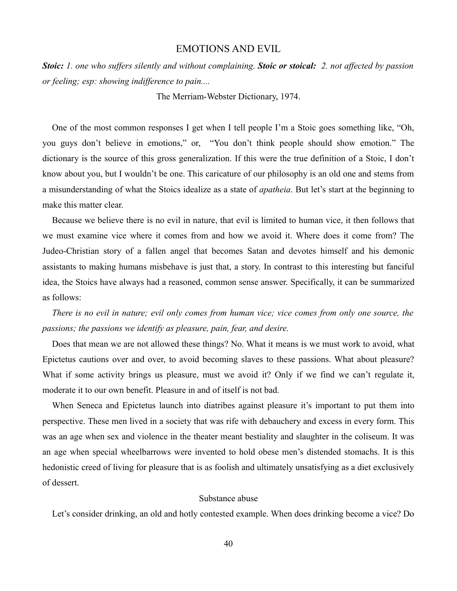### EMOTIONS AND EVIL

*Stoic: 1. one who suffers silently and without complaining. Stoic or stoical: 2. not affected by passion or feeling; esp: showing indifference to pain....*

The Merriam-Webster Dictionary, 1974.

One of the most common responses I get when I tell people I'm a Stoic goes something like, "Oh, you guys don't believe in emotions," or, "You don't think people should show emotion." The dictionary is the source of this gross generalization. If this were the true definition of a Stoic, I don't know about you, but I wouldn't be one. This caricature of our philosophy is an old one and stems from a misunderstanding of what the Stoics idealize as a state of *apatheia*. But let's start at the beginning to make this matter clear.

Because we believe there is no evil in nature, that evil is limited to human vice, it then follows that we must examine vice where it comes from and how we avoid it. Where does it come from? The Judeo-Christian story of a fallen angel that becomes Satan and devotes himself and his demonic assistants to making humans misbehave is just that, a story. In contrast to this interesting but fanciful idea, the Stoics have always had a reasoned, common sense answer. Specifically, it can be summarized as follows:

*There is no evil in nature; evil only comes from human vice; vice comes from only one source, the passions; the passions we identify as pleasure, pain, fear, and desire.*

Does that mean we are not allowed these things? No. What it means is we must work to avoid, what Epictetus cautions over and over, to avoid becoming slaves to these passions. What about pleasure? What if some activity brings us pleasure, must we avoid it? Only if we find we can't regulate it, moderate it to our own benefit. Pleasure in and of itself is not bad.

When Seneca and Epictetus launch into diatribes against pleasure it's important to put them into perspective. These men lived in a society that was rife with debauchery and excess in every form. This was an age when sex and violence in the theater meant bestiality and slaughter in the coliseum. It was an age when special wheelbarrows were invented to hold obese men's distended stomachs. It is this hedonistic creed of living for pleasure that is as foolish and ultimately unsatisfying as a diet exclusively of dessert.

#### Substance abuse

Let's consider drinking, an old and hotly contested example. When does drinking become a vice? Do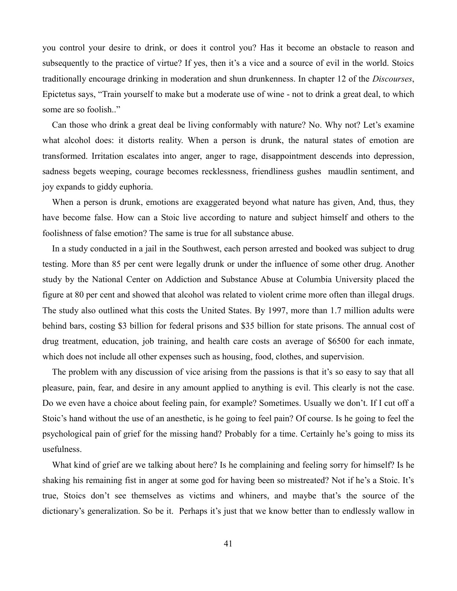you control your desire to drink, or does it control you? Has it become an obstacle to reason and subsequently to the practice of virtue? If yes, then it's a vice and a source of evil in the world. Stoics traditionally encourage drinking in moderation and shun drunkenness. In chapter 12 of the *Discourses*, Epictetus says, "Train yourself to make but a moderate use of wine - not to drink a great deal, to which some are so foolish.."

Can those who drink a great deal be living conformably with nature? No. Why not? Let's examine what alcohol does: it distorts reality. When a person is drunk, the natural states of emotion are transformed. Irritation escalates into anger, anger to rage, disappointment descends into depression, sadness begets weeping, courage becomes recklessness, friendliness gushes maudlin sentiment, and joy expands to giddy euphoria.

When a person is drunk, emotions are exaggerated beyond what nature has given, And, thus, they have become false. How can a Stoic live according to nature and subject himself and others to the foolishness of false emotion? The same is true for all substance abuse.

In a study conducted in a jail in the Southwest, each person arrested and booked was subject to drug testing. More than 85 per cent were legally drunk or under the influence of some other drug. Another study by the National Center on Addiction and Substance Abuse at Columbia University placed the figure at 80 per cent and showed that alcohol was related to violent crime more often than illegal drugs. The study also outlined what this costs the United States. By 1997, more than 1.7 million adults were behind bars, costing \$3 billion for federal prisons and \$35 billion for state prisons. The annual cost of drug treatment, education, job training, and health care costs an average of \$6500 for each inmate, which does not include all other expenses such as housing, food, clothes, and supervision.

The problem with any discussion of vice arising from the passions is that it's so easy to say that all pleasure, pain, fear, and desire in any amount applied to anything is evil. This clearly is not the case. Do we even have a choice about feeling pain, for example? Sometimes. Usually we don't. If I cut off a Stoic's hand without the use of an anesthetic, is he going to feel pain? Of course. Is he going to feel the psychological pain of grief for the missing hand? Probably for a time. Certainly he's going to miss its usefulness.

What kind of grief are we talking about here? Is he complaining and feeling sorry for himself? Is he shaking his remaining fist in anger at some god for having been so mistreated? Not if he's a Stoic. It's true, Stoics don't see themselves as victims and whiners, and maybe that's the source of the dictionary's generalization. So be it. Perhaps it's just that we know better than to endlessly wallow in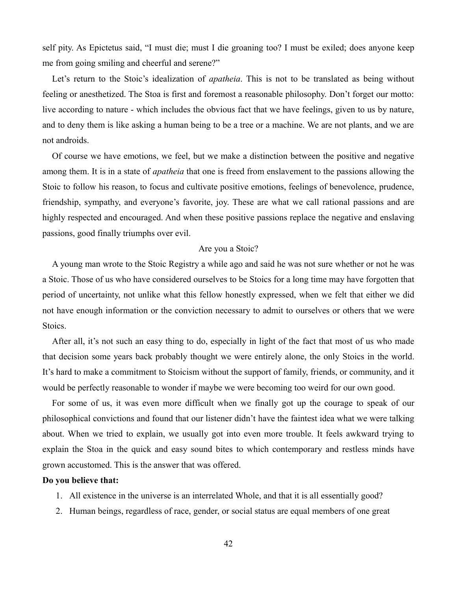self pity. As Epictetus said, "I must die; must I die groaning too? I must be exiled; does anyone keep me from going smiling and cheerful and serene?"

Let's return to the Stoic's idealization of *apatheia*. This is not to be translated as being without feeling or anesthetized. The Stoa is first and foremost a reasonable philosophy. Don't forget our motto: live according to nature - which includes the obvious fact that we have feelings, given to us by nature, and to deny them is like asking a human being to be a tree or a machine. We are not plants, and we are not androids.

Of course we have emotions, we feel, but we make a distinction between the positive and negative among them. It is in a state of *apatheia* that one is freed from enslavement to the passions allowing the Stoic to follow his reason, to focus and cultivate positive emotions, feelings of benevolence, prudence, friendship, sympathy, and everyone's favorite, joy. These are what we call rational passions and are highly respected and encouraged. And when these positive passions replace the negative and enslaving passions, good finally triumphs over evil.

#### Are you a Stoic?

A young man wrote to the Stoic Registry a while ago and said he was not sure whether or not he was a Stoic. Those of us who have considered ourselves to be Stoics for a long time may have forgotten that period of uncertainty, not unlike what this fellow honestly expressed, when we felt that either we did not have enough information or the conviction necessary to admit to ourselves or others that we were Stoics.

After all, it's not such an easy thing to do, especially in light of the fact that most of us who made that decision some years back probably thought we were entirely alone, the only Stoics in the world. It's hard to make a commitment to Stoicism without the support of family, friends, or community, and it would be perfectly reasonable to wonder if maybe we were becoming too weird for our own good.

For some of us, it was even more difficult when we finally got up the courage to speak of our philosophical convictions and found that our listener didn't have the faintest idea what we were talking about. When we tried to explain, we usually got into even more trouble. It feels awkward trying to explain the Stoa in the quick and easy sound bites to which contemporary and restless minds have grown accustomed. This is the answer that was offered.

#### **Do you believe that:**

- 1. All existence in the universe is an interrelated Whole, and that it is all essentially good?
- 2. Human beings, regardless of race, gender, or social status are equal members of one great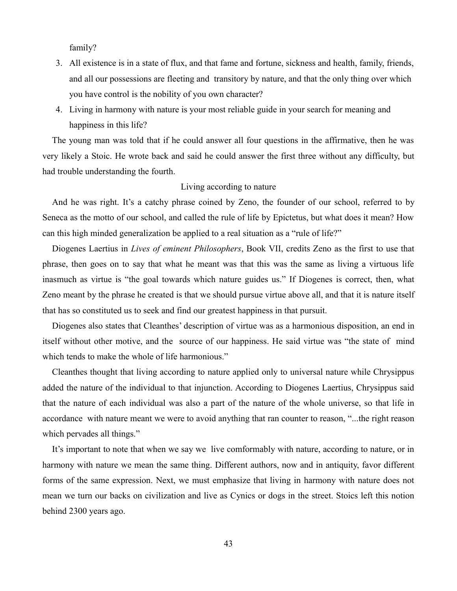family?

- 3. All existence is in a state of flux, and that fame and fortune, sickness and health, family, friends, and all our possessions are fleeting and transitory by nature, and that the only thing over which you have control is the nobility of you own character?
- 4. Living in harmony with nature is your most reliable guide in your search for meaning and happiness in this life?

The young man was told that if he could answer all four questions in the affirmative, then he was very likely a Stoic. He wrote back and said he could answer the first three without any difficulty, but had trouble understanding the fourth.

### Living according to nature

And he was right. It's a catchy phrase coined by Zeno, the founder of our school, referred to by Seneca as the motto of our school, and called the rule of life by Epictetus, but what does it mean? How can this high minded generalization be applied to a real situation as a "rule of life?"

Diogenes Laertius in *Lives of eminent Philosophers*, Book VII, credits Zeno as the first to use that phrase, then goes on to say that what he meant was that this was the same as living a virtuous life inasmuch as virtue is "the goal towards which nature guides us." If Diogenes is correct, then, what Zeno meant by the phrase he created is that we should pursue virtue above all, and that it is nature itself that has so constituted us to seek and find our greatest happiness in that pursuit.

Diogenes also states that Cleanthes' description of virtue was as a harmonious disposition, an end in itself without other motive, and the source of our happiness. He said virtue was "the state of mind which tends to make the whole of life harmonious."

Cleanthes thought that living according to nature applied only to universal nature while Chrysippus added the nature of the individual to that injunction. According to Diogenes Laertius, Chrysippus said that the nature of each individual was also a part of the nature of the whole universe, so that life in accordance with nature meant we were to avoid anything that ran counter to reason, "...the right reason which pervades all things."

It's important to note that when we say we live comformably with nature, according to nature, or in harmony with nature we mean the same thing. Different authors, now and in antiquity, favor different forms of the same expression. Next, we must emphasize that living in harmony with nature does not mean we turn our backs on civilization and live as Cynics or dogs in the street. Stoics left this notion behind 2300 years ago.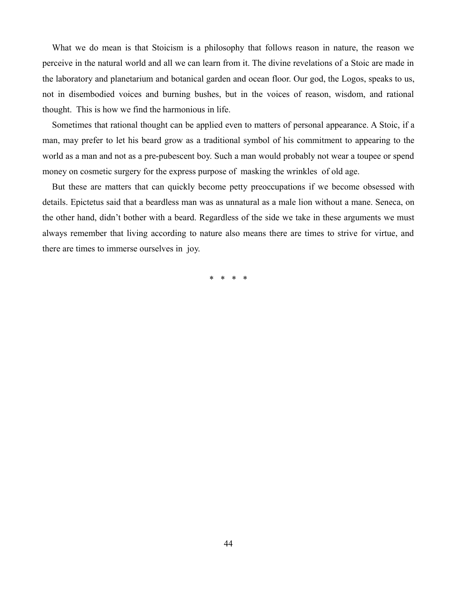What we do mean is that Stoicism is a philosophy that follows reason in nature, the reason we perceive in the natural world and all we can learn from it. The divine revelations of a Stoic are made in the laboratory and planetarium and botanical garden and ocean floor. Our god, the Logos, speaks to us, not in disembodied voices and burning bushes, but in the voices of reason, wisdom, and rational thought. This is how we find the harmonious in life.

Sometimes that rational thought can be applied even to matters of personal appearance. A Stoic, if a man, may prefer to let his beard grow as a traditional symbol of his commitment to appearing to the world as a man and not as a pre-pubescent boy. Such a man would probably not wear a toupee or spend money on cosmetic surgery for the express purpose of masking the wrinkles of old age.

But these are matters that can quickly become petty preoccupations if we become obsessed with details. Epictetus said that a beardless man was as unnatural as a male lion without a mane. Seneca, on the other hand, didn't bother with a beard. Regardless of the side we take in these arguments we must always remember that living according to nature also means there are times to strive for virtue, and there are times to immerse ourselves in joy.

\* \* \* \*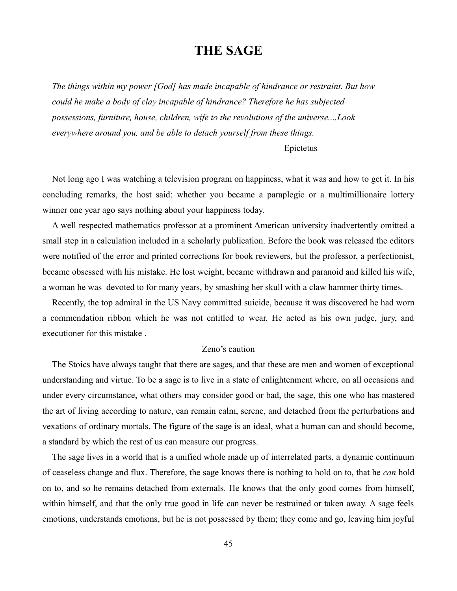# **THE SAGE**

*The things within my power [God] has made incapable of hindrance or restraint. But how could he make a body of clay incapable of hindrance? Therefore he has subjected possessions, furniture, house, children, wife to the revolutions of the universe....Look everywhere around you, and be able to detach yourself from these things.*

Epictetus

Not long ago I was watching a television program on happiness, what it was and how to get it. In his concluding remarks, the host said: whether you became a paraplegic or a multimillionaire lottery winner one year ago says nothing about your happiness today.

A well respected mathematics professor at a prominent American university inadvertently omitted a small step in a calculation included in a scholarly publication. Before the book was released the editors were notified of the error and printed corrections for book reviewers, but the professor, a perfectionist, became obsessed with his mistake. He lost weight, became withdrawn and paranoid and killed his wife, a woman he was devoted to for many years, by smashing her skull with a claw hammer thirty times.

Recently, the top admiral in the US Navy committed suicide, because it was discovered he had worn a commendation ribbon which he was not entitled to wear. He acted as his own judge, jury, and executioner for this mistake .

#### Zeno's caution

The Stoics have always taught that there are sages, and that these are men and women of exceptional understanding and virtue. To be a sage is to live in a state of enlightenment where, on all occasions and under every circumstance, what others may consider good or bad, the sage, this one who has mastered the art of living according to nature, can remain calm, serene, and detached from the perturbations and vexations of ordinary mortals. The figure of the sage is an ideal, what a human can and should become, a standard by which the rest of us can measure our progress.

The sage lives in a world that is a unified whole made up of interrelated parts, a dynamic continuum of ceaseless change and flux. Therefore, the sage knows there is nothing to hold on to, that he *can* hold on to, and so he remains detached from externals. He knows that the only good comes from himself, within himself, and that the only true good in life can never be restrained or taken away. A sage feels emotions, understands emotions, but he is not possessed by them; they come and go, leaving him joyful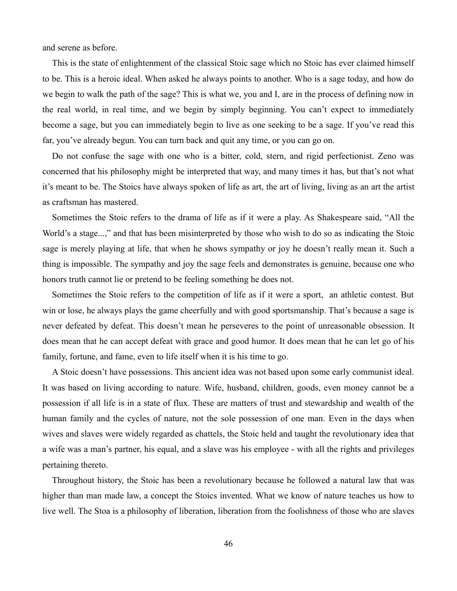and serene as before.

This is the state of enlightenment of the classical Stoic sage which no Stoic has ever claimed himself to be. This is a heroic ideal. When asked he always points to another. Who is a sage today, and how do we begin to walk the path of the sage? This is what we, you and I, are in the process of defining now in the real world, in real time, and we begin by simply beginning. You can't expect to immediately become a sage, but you can immediately begin to live as one seeking to be a sage. If you've read this far, you've already begun. You can turn back and quit any time, or you can go on.

Do not confuse the sage with one who is a bitter, cold, stern, and rigid perfectionist. Zeno was concerned that his philosophy might be interpreted that way, and many times it has, but that's not what it's meant to be. The Stoics have always spoken of life as art, the art of living, living as an art the artist as craftsman has mastered.

Sometimes the Stoic refers to the drama of life as if it were a play. As Shakespeare said, "All the World's a stage...," and that has been misinterpreted by those who wish to do so as indicating the Stoic sage is merely playing at life, that when he shows sympathy or joy he doesn't really mean it. Such a thing is impossible. The sympathy and joy the sage feels and demonstrates is genuine, because one who honors truth cannot lie or pretend to be feeling something he does not.

Sometimes the Stoic refers to the competition of life as if it were a sport, an athletic contest. But win or lose, he always plays the game cheerfully and with good sportsmanship. That's because a sage is never defeated by defeat. This doesn't mean he perseveres to the point of unreasonable obsession. It does mean that he can accept defeat with grace and good humor. It does mean that he can let go of his family, fortune, and fame, even to life itself when it is his time to go.

A Stoic doesn't have possessions. This ancient idea was not based upon some early communist ideal. It was based on living according to nature. Wife, husband, children, goods, even money cannot be a possession if all life is in a state of flux. These are matters of trust and stewardship and wealth of the human family and the cycles of nature, not the sole possession of one man. Even in the days when wives and slaves were widely regarded as chattels, the Stoic held and taught the revolutionary idea that a wife was a man's partner, his equal, and a slave was his employee - with all the rights and privileges pertaining thereto.

Throughout history, the Stoic has been a revolutionary because he followed a natural law that was higher than man made law, a concept the Stoics invented. What we know of nature teaches us how to live well. The Stoa is a philosophy of liberation, liberation from the foolishness of those who are slaves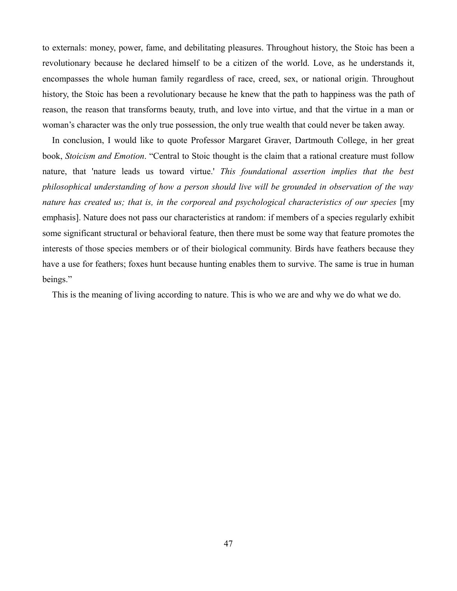to externals: money, power, fame, and debilitating pleasures. Throughout history, the Stoic has been a revolutionary because he declared himself to be a citizen of the world. Love, as he understands it, encompasses the whole human family regardless of race, creed, sex, or national origin. Throughout history, the Stoic has been a revolutionary because he knew that the path to happiness was the path of reason, the reason that transforms beauty, truth, and love into virtue, and that the virtue in a man or woman's character was the only true possession, the only true wealth that could never be taken away.

In conclusion, I would like to quote Professor Margaret Graver, Dartmouth College, in her great book, *Stoicism and Emotion*. "Central to Stoic thought is the claim that a rational creature must follow nature, that 'nature leads us toward virtue.' *This foundational assertion implies that the best philosophical understanding of how a person should live will be grounded in observation of the way nature has created us; that is, in the corporeal and psychological characteristics of our species* [my emphasis]. Nature does not pass our characteristics at random: if members of a species regularly exhibit some significant structural or behavioral feature, then there must be some way that feature promotes the interests of those species members or of their biological community. Birds have feathers because they have a use for feathers; foxes hunt because hunting enables them to survive. The same is true in human beings."

This is the meaning of living according to nature. This is who we are and why we do what we do.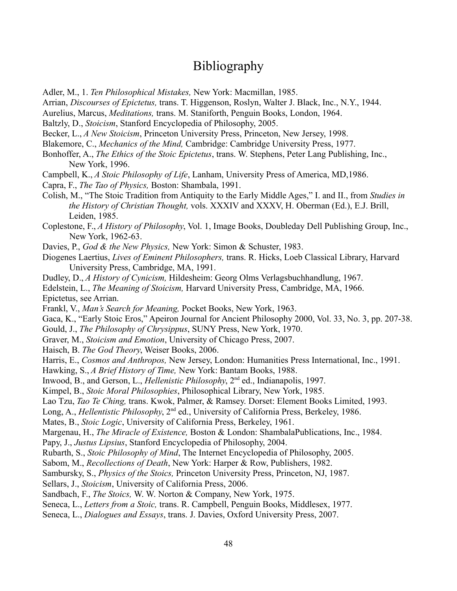# Bibliography

Adler, M., 1. *Ten Philosophical Mistakes,* New York: Macmillan, 1985.

Arrian, *Discourses of Epictetus,* trans. T. Higgenson, Roslyn, Walter J. Black, Inc., N.Y., 1944.

Aurelius, Marcus, *Meditations,* trans. M. Staniforth, Penguin Books, London, 1964.

Baltzly, D., *Stoicism*, Stanford Encyclopedia of Philosophy, 2005.

Becker, L., *A New Stoicism*, Princeton University Press, Princeton, New Jersey, 1998.

Blakemore, C., *Mechanics of the Mind,* Cambridge: Cambridge University Press, 1977.

Bonhoffer, A., *The Ethics of the Stoic Epictetus*, trans. W. Stephens, Peter Lang Publishing, Inc., New York, 1996.

Campbell, K., *A Stoic Philosophy of Life*, Lanham, University Press of America, MD,1986.

Capra, F., *The Tao of Physics,* Boston: Shambala, 1991.

Colish, M., "The Stoic Tradition from Antiquity to the Early Middle Ages," I. and II., from *Studies in the History of Christian Thought,* vols. XXXIV and XXXV, H. Oberman (Ed.), E.J. Brill, Leiden, 1985.

Coplestone, F., *A History of Philosophy*, Vol. 1, Image Books, Doubleday Dell Publishing Group, Inc., New York, 1962-63.

Davies, P., *God & the New Physics,* New York: Simon & Schuster, 1983.

Diogenes Laertius, *Lives of Eminent Philosophers,* trans. R. Hicks, Loeb Classical Library, Harvard University Press, Cambridge, MA, 1991.

Dudley, D., *A History of Cynicism,* Hildesheim: Georg Olms Verlagsbuchhandlung, 1967.

Edelstein, L., *The Meaning of Stoicism,* Harvard University Press, Cambridge, MA, 1966. Epictetus, see Arrian.

Frankl, V., *Man's Search for Meaning,* Pocket Books, New York, 1963.

Gaca, K., "Early Stoic Eros," Apeiron Journal for Ancient Philosophy 2000, Vol. 33, No. 3, pp. 207-38.

Gould, J., *The Philosophy of Chrysippus*, SUNY Press, New York, 1970.

Graver, M., *Stoicism and Emotion*, University of Chicago Press, 2007.

Haisch, B. *The God Theory*, Weiser Books, 2006.

Harris, E., *Cosmos and Anthropos,* New Jersey, London: Humanities Press International, Inc., 1991.

Hawking, S., *A Brief History of Time,* New York: Bantam Books, 1988.

Inwood, B., and Gerson, L., *Hellenistic Philosophy*, 2nd ed., Indianapolis, 1997.

Kimpel, B., *Stoic Moral Philosophies*, Philosophical Library, New York, 1985.

Lao Tzu, *Tao Te Ching,* trans. Kwok, Palmer, & Ramsey. Dorset: Element Books Limited, 1993.

Long, A., *Hellentistic Philosophy*, 2<sup>nd</sup> ed., University of California Press, Berkeley, 1986.

Mates, B., *Stoic Logic*, University of California Press, Berkeley, 1961.

Margenau, H., *The Miracle of Existence,* Boston & London: ShambalaPublications, Inc., 1984.

Papy, J., *Justus Lipsius*, Stanford Encyclopedia of Philosophy, 2004.

Rubarth, S., *Stoic Philosophy of Mind*, The Internet Encyclopedia of Philosophy, 2005.

Sabom, M., *Recollections of Death*, New York: Harper & Row, Publishers, 1982.

Sambursky, S., *Physics of the Stoics,* Princeton University Press, Princeton, NJ, 1987.

Sellars, J., *Stoicism*, University of California Press, 2006.

Sandbach, F., *The Stoics,* W. W. Norton & Company, New York, 1975.

Seneca, L., *Letters from a Stoic,* trans. R. Campbell, Penguin Books, Middlesex, 1977.

Seneca, L., *Dialogues and Essays*, trans. J. Davies, Oxford University Press, 2007.